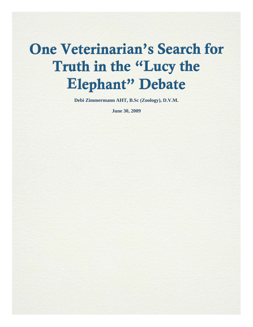# One Veterinarian's Search for Truth in the "Lucy the Elephant" Debate

**Debi Zimmermann AHT, B.Sc (Zoology), D.V.M.** 

**June 30, 2009**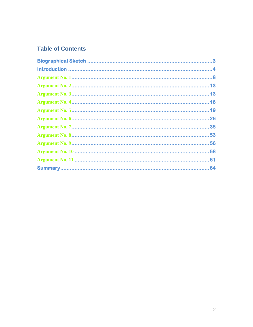## **Table of Contents**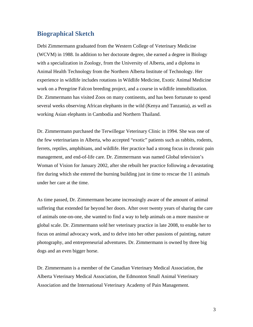#### **Biographical Sketch**

Debi Zimmermann graduated from the Western College of Veterinary Medicine (WCVM) in 1988. In addition to her doctorate degree, she earned a degree in Biology with a specialization in Zoology, from the University of Alberta, and a diploma in Animal Health Technology from the Northern Alberta Institute of Technology. Her experience in wildlife includes rotations in Wildlife Medicine, Exotic Animal Medicine work on a Peregrine Falcon breeding project, and a course in wildlife immobilization. Dr. Zimmermann has visited Zoos on many continents, and has been fortunate to spend several weeks observing African elephants in the wild (Kenya and Tanzania), as well as working Asian elephants in Cambodia and Northern Thailand.

Dr. Zimmermann purchased the Terwillegar Veterinary Clinic in 1994. She was one of the few veterinarians in Alberta, who accepted "exotic" patients such as rabbits, rodents, ferrets, reptiles, amphibians, and wildlife. Her practice had a strong focus in chronic pain management, and end-of-life care. Dr. Zimmermann was named Global television's Woman of Vision for January 2002, after she rebuilt her practice following a devastating fire during which she entered the burning building just in time to rescue the 11 animals under her care at the time.

As time passed, Dr. Zimmermann became increasingly aware of the amount of animal suffering that extended far beyond her doors. After over twenty years of sharing the care of animals one-on-one, she wanted to find a way to help animals on a more massive or global scale. Dr. Zimmermann sold her veterinary practice in late 2008, to enable her to focus on animal advocacy work, and to delve into her other passions of painting, nature photography, and entrepreneurial adventures. Dr. Zimmermann is owned by three big dogs and an even bigger horse.

Dr. Zimmermann is a member of the Canadian Veterinary Medical Association, the Alberta Veterinary Medical Association, the Edmonton Small Animal Veterinary Association and the International Veterinary Academy of Pain Management.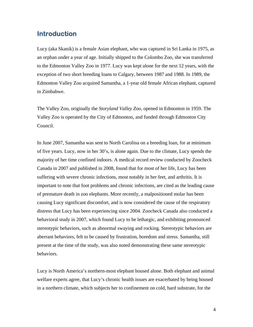#### **Introduction**

Lucy (aka Skanik) is a female Asian elephant, who was captured in Sri Lanka in 1975, as an orphan under a year of age. Initially shipped to the Colombo Zoo, she was transferred to the Edmonton Valley Zoo in 1977. Lucy was kept alone for the next 12 years, with the exception of two short breeding loans to Calgary, between 1987 and 1988. In 1989, the Edmonton Valley Zoo acquired Samantha, a 1-year old female African elephant, captured in Zimbabwe.

The Valley Zoo, originally the *Storyland Valley Zoo*, opened in Edmonton in 1959. The Valley Zoo is operated by the City of Edmonton, and funded through Edmonton City Council.

In June 2007, Samantha was sent to North Carolina on a breeding loan, for at minimum of five years. Lucy, now in her 30's, is alone again. Due to the climate, Lucy spends the majority of her time confined indoors. A medical record review conducted by Zoocheck Canada in 2007 and published in 2008, found that for most of her life, Lucy has been suffering with severe chronic infections, most notably in her feet, and arthritis. It is important to note that foot problems and chronic infections, are cited as the leading cause of premature death in zoo elephants. More recently, a malpositioned molar has been causing Lucy significant discomfort, and is now considered the cause of the respiratory distress that Lucy has been experiencing since 2004. Zoocheck Canada also conducted a behavioral study in 2007, which found Lucy to be lethargic, and exhibiting pronounced stereotypic behaviors, such as abnormal swaying and rocking. Stereotypic behaviors are aberrant behaviors, felt to be caused by frustration, boredom and stress. Samantha, still present at the time of the study, was also noted demonstrating these same stereotypic behaviors.

Lucy is North America's northern-most elephant housed alone. Both elephant and animal welfare experts agree, that Lucy's chronic health issues are exacerbated by being housed in a northern climate, which subjects her to confinement on cold, hard substrate, for the

4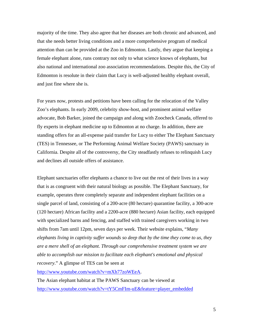majority of the time. They also agree that her diseases are both chronic and advanced, and that she needs better living conditions and a more comprehensive program of medical attention than can be provided at the Zoo in Edmonton. Lastly, they argue that keeping a female elephant alone, runs contrary not only to what science knows of elephants, but also national and international zoo association recommendations. Despite this, the City of Edmonton is resolute in their claim that Lucy is well-adjusted healthy elephant overall, and just fine where she is.

For years now, protests and petitions have been calling for the relocation of the Valley Zoo's elephants. In early 2009, celebrity show-host, and prominent animal welfare advocate, Bob Barker, joined the campaign and along with Zoocheck Canada, offered to fly experts in elephant medicine up to Edmonton at no charge. In addition, there are standing offers for an all-expense paid transfer for Lucy to either The Elephant Sanctuary (TES) in Tennessee, or The Performing Animal Welfare Society (PAWS) sanctuary in California. Despite all of the controversy, the City steadfastly refuses to relinquish Lucy and declines all outside offers of assistance.

Elephant sanctuaries offer elephants a chance to live out the rest of their lives in a way that is as congruent with their natural biology as possible. The Elephant Sanctuary, for example, operates three completely separate and independent elephant facilities on a single parcel of land, consisting of a 200-acre (80 hectare) quarantine facility, a 300-acre (120 hectare) African facility and a 2200-acre (880 hectare) Asian facility, each equipped with specialized barns and fencing, and staffed with trained caregivers working in two shifts from 7am until 12pm, seven days per week. Their website explains, "*Many elephants living in captivity suffer wounds so deep that by the time they come to us, they are a mere shell of an elephant. Through our comprehensive treatment system we are able to accomplish our mission to facilitate each elephant's emotional and physical recovery*." A glimpse of TES can be seen at

[http://www.youtube.com/watch?v=mXh77zoWEeA.](http://www.youtube.com/watch?v=mXh77zoWEeA)

The Asian elephant habitat at The PAWS Sanctuary can be viewed at [http://www.youtube.com/watch?v=tY5CmFIm-uE&feature=player\\_embedded](http://www.youtube.com/watch?v=tY5CmFIm-uE&feature=player_embedded)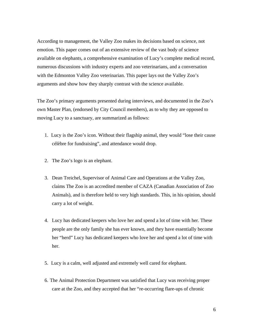According to management, the Valley Zoo makes its decisions based on science, not emotion. This paper comes out of an extensive review of the vast body of science available on elephants, a comprehensive examination of Lucy's complete medical record, numerous discussions with industry experts and zoo veterinarians, and a conversation with the Edmonton Valley Zoo veterinarian. This paper lays out the Valley Zoo's arguments and show how they sharply contrast with the science available.

The Zoo's primary arguments presented during interviews, and documented in the Zoo's own Master Plan, (endorsed by City Council members), as to why they are opposed to moving Lucy to a sanctuary, are summarized as follows:

- 1. Lucy is the Zoo's icon. Without their flagship animal, they would "lose their cause célèbre for fundraising", and attendance would drop.
- 2. The Zoo's logo is an elephant.
- 3. Dean Treichel, Supervisor of Animal Care and Operations at the Valley Zoo, claims The Zoo is an accredited member of CAZA (Canadian Association of Zoo Animals), and is therefore held to very high standards. This, in his opinion, should carry a lot of weight.
- 4. Lucy has dedicated keepers who love her and spend a lot of time with her. These people are the only family she has ever known, and they have essentially become her "herd" Lucy has dedicated keepers who love her and spend a lot of time with her.
- 5. Lucy is a calm, well adjusted and extremely well cared for elephant.
- 6. The Animal Protection Department was satisfied that Lucy was receiving proper care at the Zoo, and they accepted that her "re-occurring flare-ups of chronic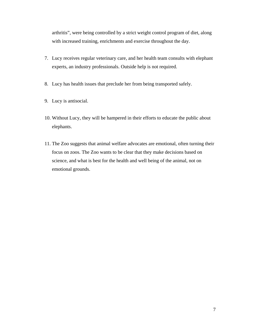arthritis", were being controlled by a strict weight control program of diet, along with increased training, enrichments and exercise throughout the day.

- 7. Lucy receives regular veterinary care, and her health team consults with elephant experts, an industry professionals. Outside help is not required.
- 8. Lucy has health issues that preclude her from being transported safely.
- 9. Lucy is antisocial.
- 10. Without Lucy, they will be hampered in their efforts to educate the public about elephants.
- 11. The Zoo suggests that animal welfare advocates are emotional, often turning their focus on zoos. The Zoo wants to be clear that they make decisions based on science, and what is best for the health and well being of the animal, not on emotional grounds.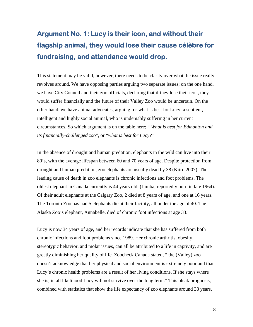## **Argument No. 1: Lucy is their icon, and without their flagship animal, they would lose their cause célèbre for fundraising, and attendance would drop.**

This statement may be valid, however, there needs to be clarity over what the issue really revolves around. We have opposing parties arguing two separate issues; on the one hand, we have City Council and their zoo officials, declaring that if they lose their icon, they would suffer financially and the future of their Valley Zoo would be uncertain. On the other hand, we have animal advocates, arguing for what is best for Lucy: a sentient, intelligent and highly social animal, who is undeniably suffering in her current circumstances. So which argument is on the table here; " *What is best for Edmonton and its financially-challenged zoo*", or "*what is best for Lucy?"* 

In the absence of drought and human predation, elephants in the wild can live into their 80's, with the average lifespan between 60 and 70 years of age. Despite protection from drought and human predation, zoo elephants are usually dead by 38 (Kiiru 2007). The leading cause of death in zoo elephants is chronic infections and foot problems. The oldest elephant in Canada currently is 44 years old. (Limba, reportedly born in late 1964). Of their adult elephants at the Calgary Zoo, 2 died at 8 years of age, and one at 16 years. The Toronto Zoo has had 5 elephants die at their facility, all under the age of 40. The Alaska Zoo's elephant, Annabelle, died of chronic foot infections at age 33.

Lucy is now 34 years of age, and her records indicate that she has suffered from both chronic infections and foot problems since 1989. Her chronic arthritis, obesity, stereotypic behavior, and molar issues, can all be attributed to a life in captivity, and are greatly diminishing her quality of life. Zoocheck Canada stated, " the (Valley) zoo doesn't acknowledge that her physical and social environment is extremely poor and that Lucy's chronic health problems are a result of her living conditions. If she stays where she is, in all likelihood Lucy will not survive over the long term." This bleak prognosis, combined with statistics that show the life expectancy of zoo elephants around 38 years,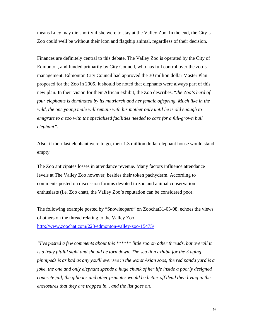means Lucy may die shortly if she were to stay at the Valley Zoo. In the end, the City's Zoo could well be without their icon and flagship animal, regardless of their decision.

Finances are definitely central to this debate. The Valley Zoo is operated by the City of Edmonton, and funded primarily by City Council, who has full control over the zoo's management. Edmonton City Council had approved the 30 million dollar Master Plan proposed for the Zoo in 2005. It should be noted that elephants were always part of this new plan. In their vision for their African exhibit, the Zoo describes, "*the Zoo's herd of four elephants is dominated by its matriarch and her female offspring. Much like in the wild, the one young male will remain with his mother only until he is old enough to emigrate to a zoo with the specialized facilities needed to care for a full-grown bull elephant".* 

Also, if their last elephant were to go, their 1.3 million dollar elephant house would stand empty.

The Zoo anticipates losses in attendance revenue. Many factors influence attendance levels at The Valley Zoo however, besides their token pachyderm. According to comments posted on discussion forums devoted to zoo and animal conservation enthusiasts (i.e. Zoo chat), the Valley Zoo's reputation can be considered poor.

The following example posted by "Snowleopard" on Zoochat31-03-08, echoes the views of others on the thread relating to the Valley Zoo <http://www.zoochat.com/223/edmonton-valley-zoo-15475/> :

*"I've posted a few comments about this \*\*\*\*\*\* little zoo on other threads, but overall it is a truly pitiful sight and should be torn down. The sea lion exhibit for the 3 aging pinnipeds is as bad as any you'll ever see in the worst Asian zoos, the red panda yard is a joke, the one and only elephant spends a huge chunk of her life inside a poorly designed concrete jail, the gibbons and other primates would be better off dead then living in the enclosures that they are trapped in... and the list goes on.*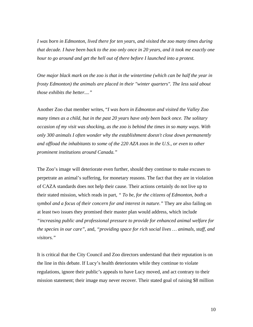*I was born in Edmonton, lived there for ten years, and visited the zoo many times during that decade. I have been back to the zoo only once in 20 years, and it took me exactly one hour to go around and get the hell out of there before I launched into a protest.* 

*One major black mark on the zoo is that in the wintertime (which can be half the year in frosty Edmonton) the animals are placed in their "winter quarters". The less said about those exhibits the better...."* 

Another Zoo chat member writes, "*I was born in Edmonton and visited the Valley Zoo many times as a child, but in the past 20 years have only been back once. The solitary occasion of my visit was shocking, as the zoo is behind the times in so many ways. With only 300 animals I often wonder why the establishment doesn't close down permanently and offload the inhabitants to some of the 220 AZA zoos in the U.S., or even to other prominent institutions around Canada."* 

The Zoo's image will deteriorate even further, should they continue to make excuses to perpetrate an animal's suffering, for monetary reasons. The fact that they are in violation of CAZA standards does not help their cause. Their actions certainly do not live up to their stated mission, which reads in part, *" To be, for the citizens of Edmonton, both a symbol and a focus of their concern for and interest in nature."* They are also failing on at least two issues they promised their master plan would address, which include *"increasing public and professional pressure to provide for enhanced animal welfare for the species in our care"*, and, *"providing space for rich social lives … animals, staff, and visitors."* 

It is critical that the City Council and Zoo directors understand that their reputation is on the line in this debate. If Lucy's health deteriorates while they continue to violate regulations, ignore their public's appeals to have Lucy moved, and act contrary to their mission statement; their image may never recover. Their stated goal of raising \$8 million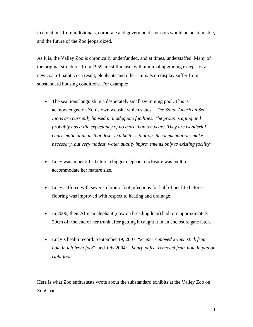in donations from individuals, corporate and government sponsors would be unattainable, and the future of the Zoo jeopardized.

As it is, the Valley Zoo is chronically underfunded, and at times, understaffed. Many of the original structures from 1959 are still in use, with minimal upgrading except for a new coat of paint. As a result, elephants and other animals on display suffer from substandard housing conditions. For example:

- The sea lions languish in a desperately small swimming pool. This is acknowledged on Zoo's own website which states, *"The South American Sea Lions are currently housed in inadequate facilities. The group is aging and probably has a life expectancy of no more than ten years. They are wonderful charismatic animals that deserve a better situation. Recommendation: make necessary, but very modest, water quality improvements only to existing facility".*
- Lucy was in her 20's before a bigger elephant enclosure was built to accommodate her mature size.
- Lucy suffered with severe, chronic foot infections for half of her life before flooring was improved with respect to heating and drainage.
- In 2006, their African elephant (now on breeding loan) had torn approximately 20cm off the end of her trunk after getting it caught it in an enclosure gate latch.
- Lucy's health record: September 19, 2007: "*keeper removed 2-inch stick from hole in left front foot*", and *July* 2004: "*Sharp object removed from hole in pad on right foot".*

Here is what Zoo enthusiasts wrote about the substandard exhibits at the Valley Zoo on ZooChat: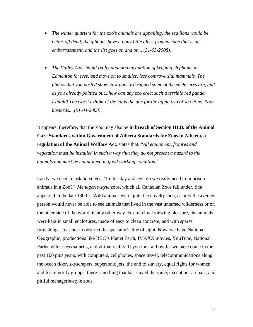- *The winter quarters for the zoo's animals are appalling, the sea lions would be better off dead, the gibbons have a puny little glass-fronted cage that is an embarrassment, and the list goes on and on... (31-03-2008).*
- *The Valley Zoo should really abandon any notion of keeping elephants in Edmonton forever, and move on to smaller, less controversial mammals. The photos that you posted show how poorly designed some of the enclosures are, and as you already pointed out...how can any zoo erect such a terrible red panda exhibit? The worst exhibit of the lot is the one for the aging trio of sea lions. Poor bastards... (01-04-2008)*

It appears, therefore, that the Zoo may also be **in breach of Section III.B. of the Animal Care Standards within Government of Alberta Standards for Zoos in Alberta, a regulation of the Animal Welfare Act,** states that: "*All equipment, fixtures and vegetation must be installed in such a way that they do not present a hazard to the animals and must be maintained in good working condition*."

Lastly, we need to ask ourselves, "In this day and age, do we really need to imprison animals in a Zoo?" *Menagerie-style* zoos, which all Canadian Zoos fall under, first appeared in the late 1800's. Wild animals were quite the novelty then, as only the average person would never be able to see animals that lived in the vast untamed wilderness or on the other side of the world, in any other way. For maximal viewing pleasure, the animals were kept in small enclosures, made of easy to clean concrete, and with sparse furnishings so as not to obstruct the spectator's line of sight. Now, we have National Geographic, productions like BBC's Planet Earth, IMAXX movies, YouTube, National Parks, wilderness safari's, and virtual reality. If you look at how far we have come in the past 100 plus years, with computers, cellphones, space travel, telecommunications along the ocean floor, skyscrapers, supersonic jets, the end to slavery, equal rights for women and for minority groups; there is nothing that has stayed the same, except our archaic, and pitiful menagerie-style zoos.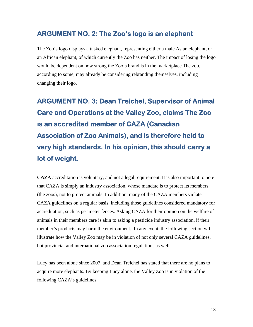## **ARGUMENT NO. 2: The Zoo's logo is an elephant**

The Zoo's logo displays a tusked elephant, representing either a male Asian elephant, or an African elephant, of which currently the Zoo has neither. The impact of losing the logo would be dependent on how strong the Zoo's brand is in the marketplace The zoo, according to some, may already be considering rebranding themselves, including changing their logo.

**ARGUMENT NO. 3: Dean Treichel, Supervisor of Animal Care and Operations at the Valley Zoo, claims The Zoo is an accredited member of CAZA (Canadian Association of Zoo Animals), and is therefore held to very high standards. In his opinion, this should carry a lot of weight.** 

**CAZA** accreditation is voluntary, and not a legal requirement. It is also important to note that CAZA is simply an industry association, whose mandate is to protect its members (the zoos), not to protect animals. In addition, many of the CAZA members violate CAZA guidelines on a regular basis, including those guidelines considered mandatory for accreditation, such as perimeter fences. Asking CAZA for their opinion on the welfare of animals in their members care is akin to asking a pesticide industry association, if their member's products may harm the environment. In any event, the following section will illustrate how the Valley Zoo may be in violation of not only several CAZA guidelines, but provincial and international zoo association regulations as well.

Lucy has been alone since 2007, and Dean Treichel has stated that there are no plans to acquire more elephants. By keeping Lucy alone, the Valley Zoo is in violation of the following CAZA's guidelines: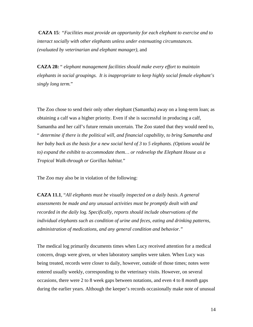**CAZA 15***: "Facilities must provide an opportunity for each elephant to exercise and to interact socially with other elephants unless under extenuating circumstances. (evaluated by veterinarian and elephant manager),* and

**CAZA 28:** " *elephant management facilities should make every effort to maintain elephants in social groupings. It is inappropriate to keep highly social female elephant's singly long term.*"

The Zoo chose to send their only other elephant (Samantha) away on a long-term loan; as obtaining a calf was a higher priority. Even if she is successful in producing a calf, Samantha and her calf's future remain uncertain. The Zoo stated that they would need to, " *determine if there is the political will, and financial capability, to bring Samantha and her baby back as the basis for a new social herd of 3 to 5 elephants. (Options would be to) expand the exhibit to accommodate them… or redevelop the Elephant House as a Tropical Walk-through or Gorillas habitat.*"

The Zoo may also be in violation of the following:

**CAZA 11.1**, "*All elephants must be visually inspected on a daily basis. A general assessments be made and any unusual activities must be promptly dealt with and recorded in the daily log. Specifically, reports should include observations of the individual elephants such as condition of urine and feces, eating and drinking patterns, administration of medications, and any general condition and behavior."* 

The medical log primarily documents times when Lucy received attention for a medical concern, drugs were given, or when laboratory samples were taken. When Lucy was being treated, records were closer to daily, however, outside of those times; notes were entered usually weekly, corresponding to the veterinary visits. However, on several occasions, there were 2 to 8 week gaps between notations, and even 4 to 8 *month* gaps during the earlier years. Although the keeper's records occasionally make note of unusual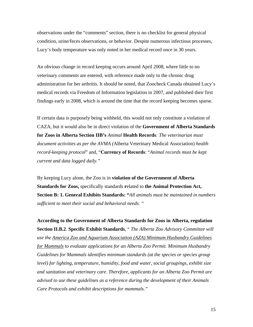observations under the "comments" section, there is no checklist for general physical condition, urine/feces observations, or behavior. Despite numerous infectious processes, Lucy's body temperature was only noted in her medical record once in 30 years.

An obvious change in record keeping occurs around April 2008, where little to no veterinary comments are entered, with reference made only to the chronic drug administration for her arthritis. It should be noted, that Zoocheck Canada obtained Lucy's medical records via Freedom of Information legislation in 2007, and published their first findings early in 2008, which is around the time that the record keeping becomes sparse.

If certain data is purposely being withheld, this would not only constitute a violation of CAZA, but it would also be in direct violation of the **Government of Alberta Standards for Zoos in Alberta Section IIB's** *Animal* **Health Records***: The veterinarian must document activities as per the AVMA (*Alberta Veterinary Medical Association) *health record-keeping protocol*" and, "**Currency of Records**: "*Animal records must be kept current and data logged daily."* 

By keeping Lucy alone, the Zoo is in **violation of the Government of Alberta Standards for Zoos,** specifically standards **r**elated to **the Animal Protection Act, Section B: 1. General Exhibits Standards: "***All animals must be maintained in numbers sufficient to meet their social and behavioral needs. "* 

**According to the Government of Alberta Standards for Zoos in Alberta, regulation Section II.B.2**. **Specific Exhibit Standards**, " *The Alberta Zoo Advisory Committee will use the America Zoo and Aquarium Association (AZA) Minimum Husbandry Guidelines for Mammals to evaluate applications for an Alberta Zoo Permit. Minimum Husbandry Guidelines for Mammals identifies minimum standards (at the species or species group level) for lighting, temperature, humidity, food and water, social groupings, exhibit size and sanitation and veterinary care*. *Therefore, applicants for an Alberta Zoo Permit are advised to use these guidelines as a reference during the development of their Animals Care Protocols and exhibit descriptions for mammals."*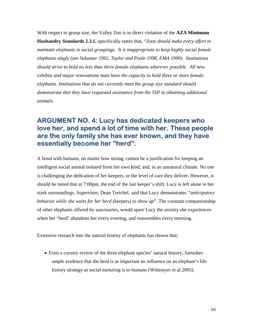With respect to group size, the Valley Zoo is in direct violation of the **AZA Minimum Husbandry Standards 2.3.1.** specifically states that, "*Zoos should make every effort to maintain elephants in social groupings. It is inappropriate to keep highly social female elephants singly (see Sukumar 1992, Taylor and Poole 1998, EMA 1999). Institutions should strive to hold no less than three female elephants wherever possible. All new exhibits and major renovations must have the capacity to hold three or more female elephants. Institutions that do not currently meet the group size standard should demonstrate that they have requested assistance from the SSP in obtaining additional animals.* 

### **ARGUMENT NO. 4: Lucy has dedicated keepers who love her, and spend a lot of time with her. These people are the only family she has ever known, and they have essentially become her "herd".**

A bond with humans, no matter how strong, cannot be a justification for keeping an intelligent social animal isolated from her own kind, and, in an unnatural climate. No one is challenging the dedication of her keepers, or the level of care they deliver. However, it should be noted that at 7:00pm, the end of the last keeper's shift, Lucy is left alone in her stark surroundings. Supervisor, Dean Treichel, said that Lucy demonstrates *"anticipatory behavior while she waits for her herd (*keepers*) to show up*". The constant companionship of other elephants offered by sanctuaries, would spare Lucy the anxiety she experiences when her "herd' abandons her every evening, and reassembles every morning.

Extensive research into the natural history of elephants has shown that:

• Even a cursory review of the three elephant species' natural history, furnishes ample evidence that the herd is as important an influence on an elephant's life history strategy as social nurturing is to humans (Wittemyer et al.2005).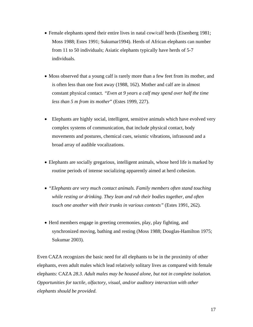- Female elephants spend their entire lives in natal cow/calf herds (Eisenberg 1981; Moss 1988; Estes 1991; Sukumar1994). Herds of African elephants can number from 11 to 50 individuals; Asiatic elephants typically have herds of 5-7 individuals.
- Moss observed that a young calf is rarely more than a few feet from its mother, and is often less than one foot away (1988, 162). Mother and calf are in almost constant physical contact. *"Even at 9 years a calf may spend over half the time less than 5 m from its mother*" (Estes 1999, 227).
- Elephants are highly social, intelligent, sensitive animals which have evolved very complex systems of communication, that include physical contact, body movements and postures, chemical cues, seismic vibrations, infrasound and a broad array of audible vocalizations.
- Elephants are socially gregarious, intelligent animals, whose herd life is marked by routine periods of intense socializing apparently aimed at herd cohesion.
- *"Elephants are very much contact animals. Family members often stand touching while resting or drinking. They lean and rub their bodies together, and often touch one another with their trunks in various contexts"* (Estes 1991, 262).
- Herd members engage in greeting ceremonies, play, play fighting, and synchronized moving, bathing and resting (Moss 1988; Douglas-Hamilton 1975; Sukumar 2003).

Even CAZA recognizes the basic need for all elephants to be in the proximity of other elephants, even adult males which lead relatively solitary lives as compared with female elephants: CAZA *28.3. Adult males may be housed alone, but not in complete isolation. Opportunities for tactile, olfactory, visual, and/or auditory interaction with other elephants should be provided.*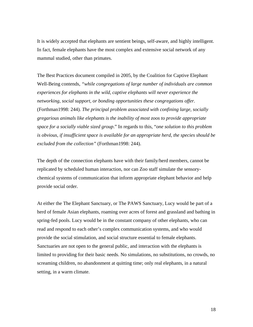It is widely accepted that elephants are sentient beings, self-aware, and highly intelligent. In fact, female elephants have the most complex and extensive social network of any mammal studied, other than primates.

The Best Practices document compiled in 2005, by the Coalition for Captive Elephant Well-Being contends, *"while congregations of large number of individuals are common experiences for elephants in the wild, captive elephants will never experience the networking, social support, or bonding opportunities these congregations offer.*  (Forthman1998: 244). *The principal problem associated with confining large, socially gregarious animals like elephants is the inability of most zoos to provide appropriate space for a socially viable sized group*." In regards to this, "*one solution to this problem is obvious, if insufficient space is available for an appropriate herd, the species should be excluded from the collection"* (Forthman1998: 244).

The depth of the connection elephants have with their family/herd members, cannot be replicated by scheduled human interaction, nor can Zoo staff simulate the sensorychemical systems of communication that inform appropriate elephant behavior and help provide social order.

At either the The Elephant Sanctuary, or The PAWS Sanctuary, Lucy would be part of a herd of female Asian elephants, roaming over acres of forest and grassland and bathing in spring-fed pools. Lucy would be in the constant company of other elephants, who can read and respond to each other's complex communication systems, and who would provide the social stimulation, and social structure essential to female elephants. Sanctuaries are not open to the general public, and interaction with the elephants is limited to providing for their basic needs. No simulations, no substitutions, no crowds, no screaming children, no abandonment at quitting time; only real elephants, in a natural setting, in a warm climate.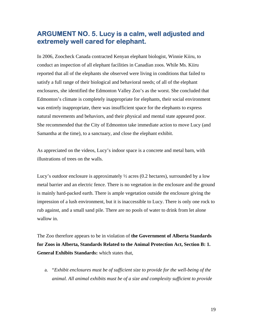#### **ARGUMENT NO. 5. Lucy is a calm, well adjusted and extremely well cared for elephant.**

In 2006, Zoocheck Canada contracted Kenyan elephant biologist, Winnie Kiiru, to conduct an inspection of all elephant facilities in Canadian zoos. While Ms. Kiiru reported that all of the elephants she observed were living in conditions that failed to satisfy a full range of their biological and behavioral needs; of all of the elephant enclosures, she identified the Edmonton Valley Zoo's as the worst. She concluded that Edmonton's climate is completely inappropriate for elephants, their social environment was entirely inappropriate, there was insufficient space for the elephants to express natural movements and behaviors, and their physical and mental state appeared poor. She recommended that the City of Edmonton take immediate action to move Lucy (and Samantha at the time), to a sanctuary, and close the elephant exhibit.

As appreciated on the videos, Lucy's indoor space is a concrete and metal barn, with illustrations of trees on the walls.

Lucy's outdoor enclosure is approximately  $\frac{1}{2}$  acres (0.2 hectares), surrounded by a low metal barrier and an electric fence. There is no vegetation in the enclosure and the ground is mainly hard-packed earth. There is ample vegetation outside the enclosure giving the impression of a lush environment, but it is inaccessible to Lucy. There is only one rock to rub against, and a small sand pile. There are no pools of water to drink from let alone wallow in.

The Zoo therefore appears to be in violation of **the Government of Alberta Standards for Zoos in Alberta, Standards Related to the Animal Protection Act, Section B: 1. General Exhibits Standards:** which states that,

a. "*Exhibit enclosures must be of sufficient size to provide for the well-being of the animal. All animal exhibits must be of a size and complexity sufficient to provide*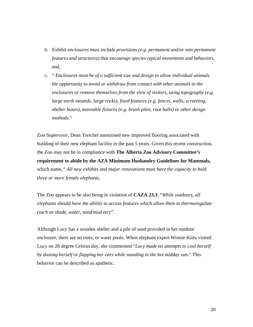- b. *Exhibit enclosures must include provisions (e.g. permanent and/or non-permanent features and structures) that encourage species typical movements and behaviors*, and,
- c. " *Enclosures must be of a sufficient size and design to allow individual animals the opportunity to avoid or withdraw from contact with other animals in the enclosures or remove themselves from the view of visitors, using topography (e.g. large earth mounds, large rocks), fixed features (e.g. fences, walls, screening, shelter boxes), moveable fixtures (e.g. brush piles, root balls) or other design methods.*"

Zoo Supervisor, Dean Treichel mentioned new improved flooring associated with building of their new elephant facility in the past 5 years. Given this recent construction, the Zoo may not be in compliance with **The Alberta Zoo Advisory Committee***'s*  **requirement to abide by the AZA Minimum Husbandry Guidelines for Mammals,** which states*," All new exhibits and major renovations must have the capacity to hold three or more female elephants.* 

The Zoo appears to be also being in violation of **CAZA 23.3**. "*While outdoors, all elephants should have the ability to access features which allow them to thermoregulate (such as shade, water, sand/mud etc)".* 

Although Lucy has a wooden shelter and a pile of sand provided in her outdoor enclosure, there are no trees, or water pools. When elephant expert Winnie Kiiru visited Lucy on 28 degree Celsius day, she commented "*Lucy made no attempts to cool herself by dusting herself or flapping her ears while standing in the hot midday sun.*" This behavior can be described as apathetic.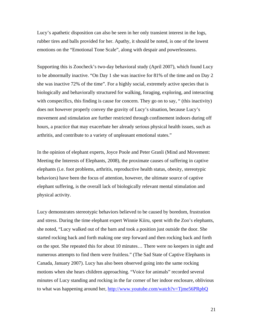Lucy's apathetic disposition can also be seen in her only transient interest in the logs, rubber tires and balls provided for her. Apathy, it should be noted, is one of the lowest emotions on the "Emotional Tone Scale", along with despair and powerlessness.

Supporting this is Zoocheck's two-day behavioral study (April 2007), which found Lucy to be abnormally inactive. "On Day 1 she was inactive for 81% of the time and on Day 2 she was inactive 72% of the time". For a highly social, extremely active species that is biologically and behaviorally structured for walking, foraging, exploring, and interacting with conspecifics, this finding is cause for concern. They go on to say, " (this inactivity) does not however properly convey the gravity of Lucy's situation, because Lucy's movement and stimulation are further restricted through confinement indoors during off hours, a practice that may exacerbate her already serious physical health issues, such as arthritis, and contribute to a variety of unpleasant emotional states."

In the opinion of elephant experts, Joyce Poole and Peter Granli (Mind and Movement: Meeting the Interests of Elephants, 2008), the proximate causes of suffering in captive elephants (i.e. foot problems, arthritis, reproductive health status, obesity, stereotypic behaviors) have been the focus of attention, however, the ultimate source of captive elephant suffering, is the overall lack of biologically relevant mental stimulation and physical activity.

Lucy demonstrates stereotypic behaviors believed to be caused by boredom, frustration and stress. During the time elephant expert Winnie Kiiru, spent with the Zoo's elephants, she noted, "Lucy walked out of the barn and took a position just outside the door. She started rocking back and forth making one step forward and then rocking back and forth on the spot. She repeated this for about 10 minutes… There were no keepers in sight and numerous attempts to find them were fruitless." (The Sad State of Captive Elephants in Canada, January 2007). Lucy has also been observed going into the same rocking motions when she hears children approaching. "Voice for animals" recorded several minutes of Lucy standing and rocking in the far corner of her indoor enclosure, oblivious to what was happening around her, <http://www.youtube.com/watch?v=Tjme56PRpbQ>

21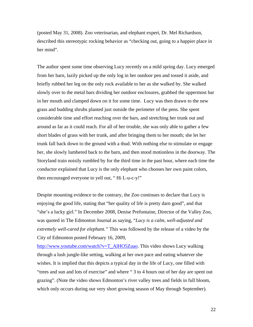(posted May 31, 2008). Zoo veterinarian, and elephant expert, Dr. Mel Richardson, described this stereotypic rocking behavior as "checking out, going to a happier place in her mind".

The author spent some time observing Lucy recently on a mild spring day. Lucy emerged from her barn, lazily picked up the only log in her outdoor pen and tossed it aside, and briefly rubbed her leg on the only rock available to her as she walked by. She walked slowly over to the metal bars dividing her outdoor enclosures, grabbed the uppermost bar in her mouth and clamped down on it for some time. Lucy was then drawn to the new grass and budding shrubs planted just outside the perimeter of the pens. She spent considerable time and effort reaching over the bars, and stretching her trunk out and around as far as it could reach. For all of her trouble, she was only able to gather a few short blades of grass with her trunk, and after bringing them to her mouth; she let her trunk fall back down to the ground with a thud. With nothing else to stimulate or engage her, she slowly lumbered back to the barn, and then stood motionless in the doorway. The Storyland train noisily rumbled by for the third time in the past hour, where each time the conductor explained that Lucy is the only elephant who chooses her own paint colors, then encouraged everyone to yell out, " Hi L-u-c-y!"

Despite mounting evidence to the contrary, the Zoo continues to declare that Lucy is enjoying the good life, stating that "her quality of life is pretty darn good", and that "she's a lucky girl." In December 2008, Denise Prefontaine, Director of the Valley Zoo, was quoted in The Edmonton Journal as saying, "*Lucy is a calm, well-adjusted and extremely well-cared for elephant."* This was followed by the release of a video by the City of Edmonton posted February 16, 2009,

[http://www.youtube.com/watch?v=T\\_AlHO5Zuao](http://www.youtube.com/watch?v=T_AlHO5Zuao). This video shows Lucy walking through a lush jungle-like setting, walking at her own pace and eating whatever she wishes. It is implied that this depicts a typical day in the life of Lucy, one filled with "trees and sun and lots of exercise" and where " 3 to 4 hours out of her day are spent out grazing". (Note the video shows Edmonton's river valley trees and fields in full bloom, which only occurs during our very short growing season of May through September).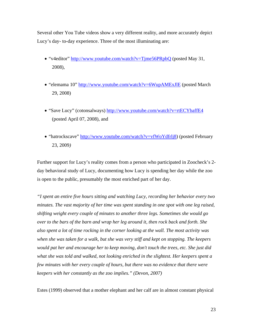Several other You Tube videos show a very different reality, and more accurately depict Lucy's day- to-day experience. Three of the most illuminating are:

- "v4editor" <http://www.youtube.com/watch?v=Tjme56PRpbQ> (posted May 31, 2008),
- "elemama 10" <http://www.youtube.com/watch?v=6WupAMExJlE> (posted March 29, 2008)
- "Save Lucy" (cotonsalways)<http://www.youtube.com/watch?v=rtECYbaffE4> (posted April 07, 2008), and
- "hatrockscave" http://www.youtube.com/watch?v=vfWoYdfrli8) (posted February 23, 2009*)*

Further support for Lucy's reality comes from a person who participated in Zoocheck's 2 day behavioral study of Lucy, documenting how Lucy is spending her day while the zoo is open to the public, presumably the most enriched part of her day.

*"I spent an entire five hours sitting and watching Lucy, recording her behavior every two minutes. The vast majority of her time was spent standing in one spot with one leg raised, shifting weight every couple of minutes to another three legs. Sometimes she would go over to the bars of the barn and wrap her leg around it, then rock back and forth. She also spent a lot of time rocking in the corner looking at the wall. The most activity was when she was taken for a walk, but she was very stiff and kept on stopping. The keepers would pat her and encourage her to keep moving, don't touch the trees, etc. She just did what she was told and walked, not looking enriched in the slightest. Her keepers spent a few minutes with her every couple of hours, but there was no evidence that there were keepers with her constantly as the zoo implies." (Devon, 2007)* 

Estes (1999) observed that a mother elephant and her calf are in almost constant physical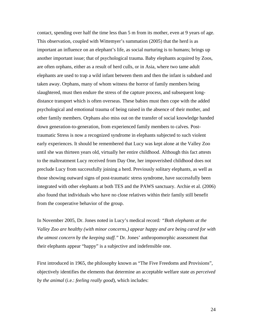contact, spending over half the time less than 5 m from its mother, even at 9 years of age. This observation, coupled with Wittemyer's summation (2005) that the herd is as important an influence on an elephant's life, as social nurturing is to humans; brings up another important issue; that of psychological trauma. Baby elephants acquired by Zoos, are often orphans, either as a result of herd culls, or in Asia, where two tame adult elephants are used to trap a wild infant between them and then the infant is subdued and taken away. Orphans, many of whom witness the horror of family members being slaughtered, must then endure the stress of the capture process, and subsequent longdistance transport which is often overseas. These babies must then cope with the added psychological and emotional trauma of being raised in the absence of their mother, and other family members. Orphans also miss out on the transfer of social knowledge handed down generation-to-generation, from experienced family members to calves. Posttraumatic Stress is now a recognized syndrome in elephants subjected to such violent early experiences. It should be remembered that Lucy was kept alone at the Valley Zoo until she was thirteen years old, virtually her entire childhood. Although this fact attests to the maltreatment Lucy received from Day One, her impoverished childhood does not preclude Lucy from successfully joining a herd. Previously solitary elephants, as well as those showing outward signs of post-traumatic stress syndrome, have successfully been integrated with other elephants at both TES and the PAWS sanctuary. Archie et al. (2006) also found that individuals who have no close relatives within their family still benefit from the cooperative behavior of the group.

In November 2005, Dr. Jones noted in Lucy's medical record*: "Both elephants at the Valley Zoo are healthy (with minor concerns,) appear happy and are being cared for with the utmost concern by the keeping staff."* Dr. Jones' anthropomorphic assessment that their elephants appear "happy" is a subjective and indefensible one.

First introduced in 1965, the philosophy known as "The Five Freedoms and Provisions", objectively identifies the elements that determine an acceptable welfare state *as perceived by the animal* (i.e.: *feeling really good*), which includes: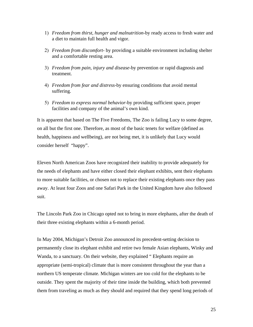- 1) *Freedom from thirst, hunger and malnutrition*-by ready access to fresh water and a diet to maintain full health and vigor.
- 2) *Freedom from discomfort-* by providing a suitable environment including shelter and a comfortable resting area.
- 3) *Freedom from pain, injury and disease*-by prevention or rapid diagnosis and treatment.
- 4) *Freedom from fear and distress*-by ensuring conditions that avoid mental suffering.
- 5) *Freedom to express normal behavior*-by providing sufficient space, proper facilities and company of the animal's own kind.

It is apparent that based on The Five Freedoms, The Zoo is failing Lucy to some degree, on all but the first one. Therefore, as most of the basic tenets for welfare (defined as health, happiness and wellbeing), are not being met, it is unlikely that Lucy would consider herself "happy".

Eleven North American Zoos have recognized their inability to provide adequately for the needs of elephants and have either closed their elephant exhibits, sent their elephants to more suitable facilities, or chosen not to replace their existing elephants once they pass away. At least four Zoos and one Safari Park in the United Kingdom have also followed suit.

The Lincoln Park Zoo in Chicago opted not to bring in more elephants, after the death of their three existing elephants within a 6-month period.

In May 2004, Michigan's Detroit Zoo announced its precedent-setting decision to permanently close its elephant exhibit and retire two female Asian elephants, Winky and Wanda, to a sanctuary. On their website, they explained " Elephants require an appropriate (semi-tropical) climate that is more consistent throughout the year than a northern US temperate climate. Michigan winters are too cold for the elephants to be outside. They spent the majority of their time inside the building, which both prevented them from traveling as much as they should and required that they spend long periods of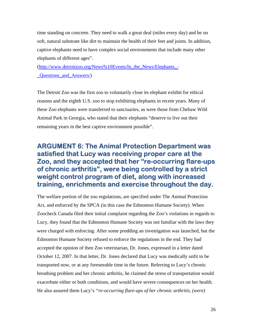time standing on concrete. They need to walk a great deal (miles every day) and be on soft, natural substrate like dirt to maintain the health of their feet and joints. In addition, captive elephants need to have complex social environments that include many other elephants of different ages".

([http://www.detroitzoo.org/News%10Events/In\\_the\\_News/Elephants\\_-](http://www.detroitzoo.org/News%10Events/In_the_News/Elephants_-_Questions_and_Answers/) [\\_Questions\\_and\\_Answers/\)](http://www.detroitzoo.org/News%10Events/In_the_News/Elephants_-_Questions_and_Answers/)

The Detroit Zoo was the first zoo to voluntarily close its elephant exhibit for ethical reasons and the eighth U.S. zoo to stop exhibiting elephants in recent years. Many of these Zoo elephants were transferred to sanctuaries, as were those from Chehaw Wild Animal Park in Georgia, who stated that their elephants "deserve to live out their remaining years in the best captive environment possible".

## **ARGUMENT 6: The Animal Protection Department was satisfied that Lucy was receiving proper care at the Zoo, and they accepted that her "re-occurring flare-ups of chronic arthritis", were being controlled by a strict weight control program of diet, along with increased training, enrichments and exercise throughout the day.**

The welfare portion of the zoo regulations, are specified under The Animal Protection Act, and enforced by the SPCA (in this case the Edmonton Humane Society). When Zoocheck Canada filed their initial complaint regarding the Zoo's violations in regards to Lucy, they found that the Edmonton Humane Society was not familiar with the laws they were charged with enforcing. After some prodding an investigation was launched, but the Edmonton Humane Society refused to enforce the regulations in the end. They had accepted the opinion of then Zoo veterinarian, Dr. Jones, expressed in a letter dated October 12, 2007. In that letter, Dr. Jones declared that Lucy was medically unfit to be transported now, or at any foreseeable time in the future. Referring to Lucy's chronic breathing problem and her chronic arthritis, he claimed the stress of transportation would exacerbate either or both conditions, and would have severe consequences on her health. He also assured them Lucy's *"re-occurring flare-ups of her chronic arthritis, (were)*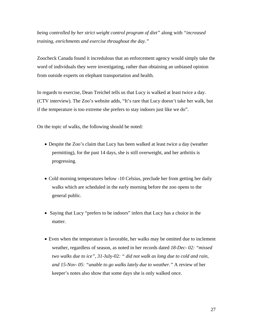*being controlled by her strict weight control program of diet"* along with *"increased training, enrichments and exercise throughout the day."* 

Zoocheck Canada found it incredulous that an enforcement agency would simply take the word of individuals they were investigating, rather than obtaining an unbiased opinion from outside experts on elephant transportation and health.

In regards to exercise, Dean Treichel tells us that Lucy is walked at least twice a day. (CTV interview). The Zoo's website adds, "It's rare that Lucy doesn't take her walk, but if the temperature is too extreme she prefers to stay indoors just like we do".

On the topic of walks, the following should be noted:

- Despite the Zoo's claim that Lucy has been walked at least twice a day (weather permitting), for the past 14 days, she is still overweight, and her arthritis is progressing.
- Cold morning temperatures below -10 Celsius, preclude her from getting her daily walks which are scheduled in the early morning before the zoo opens to the general public.
- Saying that Lucy "prefers to be indoors" infers that Lucy has a choice in the matter.
- Even when the temperature is favorable, her walks may be omitted due to inclement weather, regardless of season, as noted in her records dated *18-Dec- 02: "missed two walks due to ice", 31*-July-02*: " did not walk as long due to cold and rain, and 15-Nov- 05: "unable to go walks lately due to weather."* A review of her keeper's notes also show that some days she is only walked once.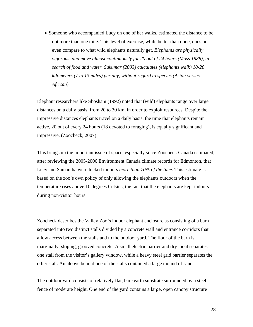• Someone who accompanied Lucy on one of her walks, estimated the distance to be not more than one mile. This level of exercise, while better than none, does not even compare to what wild elephants naturally get. *Elephants are physically vigorous, and move almost continuously for 20 out of 24 hours (Moss 1988), in search of food and water. Sukumar (2003) calculates (elephants walk) 10-20 kilometers (7 to 13 miles) per day, without regard to species (Asian versus African).* 

Elephant researchers like Shoshani (1992) noted that (wild) elephants range over large distances on a daily basis, from 20 to 30 km, in order to exploit resources. Despite the impressive distances elephants travel on a daily basis, the time that elephants remain active, 20 out of every 24 hours (18 devoted to foraging), is equally significant and impressive. (Zoocheck, 2007).

This brings up the important issue of space, especially since Zoocheck Canada estimated, after reviewing the 2005-2006 Environment Canada climate records for Edmonton, that Lucy and Samantha were locked indoors *more than 70% of the time.* This estimate is based on the zoo's own policy of only allowing the elephants outdoors when the temperature rises above 10 degrees Celsius, the fact that the elephants are kept indoors during non-visitor hours.

Zoocheck describes the Valley Zoo's indoor elephant enclosure as consisting of a barn separated into two distinct stalls divided by a concrete wall and entrance corridors that allow access between the stalls and to the outdoor yard. The floor of the barn is marginally, sloping, grooved concrete. A small electric barrier and dry moat separates one stall from the visitor's gallery window, while a heavy steel grid barrier separates the other stall. An alcove behind one of the stalls contained a large mound of sand.

The outdoor yard consists of relatively flat, bare earth substrate surrounded by a steel fence of moderate height. One end of the yard contains a large, open canopy structure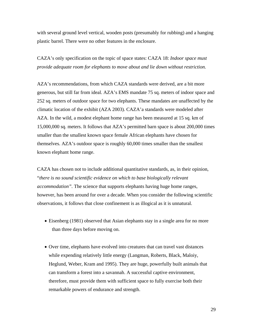with several ground level vertical, wooden posts (presumably for rubbing) and a hanging plastic barrel. There were no other features in the enclosure.

CAZA's only specification on the topic of space states: CAZA 18: *Indoor space must provide adequate room for elephants to move about and lie down without restriction.* 

AZA's recommendations, from which CAZA standards were derived, are a bit more generous, but still far from ideal. AZA's EMS mandate 75 sq. meters of indoor space and 252 sq. meters of outdoor space for two elephants. These mandates are unaffected by the climatic location of the exhibit (AZA 2003). CAZA'a standards were modeled after AZA. In the wild, a modest elephant home range has been measured at 15 sq. km of 15,000,000 sq. meters. It follows that AZA's permitted barn space is about 200,000 times smaller than the smallest known space female African elephants have chosen for themselves. AZA's outdoor space is roughly 60,000 times smaller than the smallest known elephant home range.

CAZA has chosen not to include additional quantitative standards, as, in their opinion, "*there is no sound scientific evidence on which to base biologically relevant accommodation".* The science that supports elephants having huge home ranges, however, has been around for over a decade. When you consider the following scientific observations, it follows that close confinement is as illogical as it is unnatural.

- Eisenberg (1981) observed that Asian elephants stay in a single area for no more than three days before moving on.
- Over time, elephants have evolved into creatures that can travel vast distances while expending relatively little energy (Langman, Roberts, Black, Maloiy, Heglund, Weber, Kram and 1995). They are huge, powerfully built animals that can transform a forest into a savannah. A successful captive environment, therefore, must provide them with sufficient space to fully exercise both their remarkable powers of endurance and strength.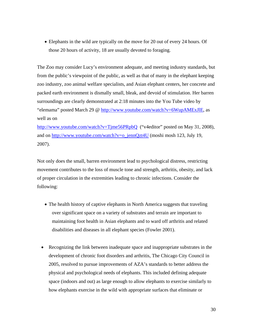• Elephants in the wild are typically on the move for 20 out of every 24 hours. Of those 20 hours of activity, 18 are usually devoted to foraging.

The Zoo may consider Lucy's environment adequate, and meeting industry standards, but from the public's viewpoint of the public, as well as that of many in the elephant keeping zoo industry, zoo animal welfare specialists, and Asian elephant centers, her concrete and packed earth environment is dismally small, bleak, and devoid of stimulation. Her barren surroundings are clearly demonstrated at 2:18 minutes into the You Tube video by "elemama" posted March 29 @ [http://www.youtube.com/watch?v=6WupAMExJlE,](http://www.youtube.com/watch?v=6WupAMExJlE) as well as on

<http://www.youtube.com/watch?v=Tjme56PRpbQ>("v4editor" posted on May 31, 2008), and on [http://www.youtube.com/watch?v=o\\_jennQzt4U](http://www.youtube.com/watch?v=o_jennQzt4U) (moshi mosh 123, July 19, 2007).

Not only does the small, barren environment lead to psychological distress, restricting movement contributes to the loss of muscle tone and strength, arthritis, obesity, and lack of proper circulation in the extremities leading to chronic infections. Consider the following:

- The health history of captive elephants in North America suggests that traveling over significant space on a variety of substrates and terrain are important to maintaining foot health in Asian elephants and to ward off arthritis and related disabilities and diseases in all elephant species (Fowler 2001).
- Recognizing the link between inadequate space and inappropriate substrates in the development of chronic foot disorders and arthritis, The Chicago City Council in 2005, resolved to pursue improvements of AZA's standards to better address the physical and psychological needs of elephants. This included defining adequate space (indoors and out) as large enough to allow elephants to exercise similarly to how elephants exercise in the wild with appropriate surfaces that eliminate or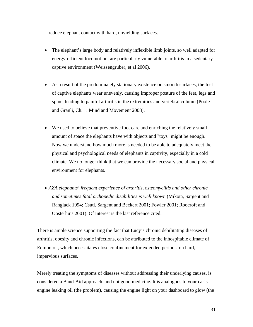reduce elephant contact with hard, unyielding surfaces.

- The elephant's large body and relatively inflexible limb joints, so well adapted for energy-efficient locomotion, are particularly vulnerable to arthritis in a sedentary captive environment (Weissengruber, et al 2006).
- As a result of the predominately stationary existence on smooth surfaces, the feet of captive elephants wear unevenly, causing improper posture of the feet, legs and spine, leading to painful arthritis in the extremities and vertebral column (Poole and Granli, Ch. 1: Mind and Movement 2008).
- We used to believe that preventive foot care and enriching the relatively small amount of space the elephants have with objects and "toys" might be enough. Now we understand how much more is needed to be able to adequately meet the physical and psychological needs of elephants in captivity, especially in a cold climate. We no longer think that we can provide the necessary social and physical environment for elephants.
- *AZA elephants' frequent experience of arthritis, osteomyelitis and other chronic and sometimes fatal orthopedic disabilities is well known* (Mikota, Sargent and Ranglack 1994; Csuti, Sargent and Beckert 2001; Fowler 2001; Roocroft and Oosterhuis 2001). Of interest is the last reference cited.

There is ample science supporting the fact that Lucy's chronic debilitating diseases of arthritis, obesity and chronic infections, can be attributed to the inhospitable climate of Edmonton, which necessitates close confinement for extended periods, on hard, impervious surfaces.

Merely treating the symptoms of diseases without addressing their underlying causes, is considered a Band-Aid approach, and not good medicine. It is analogous to your car's engine leaking oil (the problem), causing the engine light on your dashboard to glow (the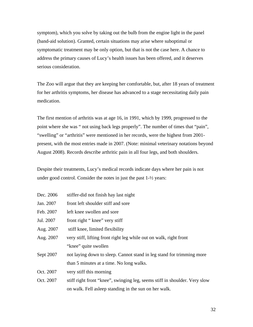symptom), which you solve by taking out the bulb from the engine light in the panel (band-aid solution). Granted, certain situations may arise where suboptimal or symptomatic treatment may be only option, but that is not the case here. A chance to address the primary causes of Lucy's health issues has been offered, and it deserves serious consideration.

The Zoo will argue that they are keeping her comfortable, but, after 18 years of treatment for her arthritis symptoms, her disease has advanced to a stage necessitating daily pain medication.

The first mention of arthritis was at age 16, in 1991, which by 1999, progressed to the point where she was " not using back legs properly". The number of times that "pain", "swelling" or "arthritis" were mentioned in her records, were the highest from 2001 present, with the most entries made in 2007. (Note: minimal veterinary notations beyond August 2008). Records describe arthritic pain in all four legs, and both shoulders.

Despite their treatments, Lucy's medical records indicate days where her pain is not under good control. Consider the notes in just the past 1-½ years:

| Dec. 2006 | stiffer-did not finish hay last night                                      |
|-----------|----------------------------------------------------------------------------|
| Jan. 2007 | front left shoulder stiff and sore                                         |
| Feb. 2007 | left knee swollen and sore                                                 |
| Jul. 2007 | front right "knee" very stiff                                              |
| Aug. 2007 | stiff knee, limited flexibility                                            |
| Aug. 2007 | very stiff, lifting front right leg while out on walk, right front         |
|           | "knee" quite swollen                                                       |
| Sept 2007 | not laying down to sleep. Cannot stand in leg stand for trimming more      |
|           | than 5 minutes at a time. No long walks.                                   |
| Oct. 2007 | very stiff this morning                                                    |
| Oct. 2007 | stiff right front "knee", swinging leg, seems stiff in shoulder. Very slow |
|           | on walk. Fell asleep standing in the sun on her walk.                      |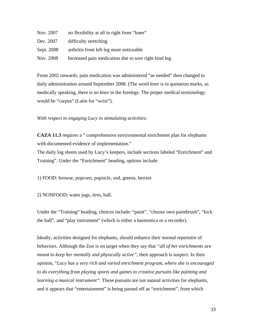| Nov. 2007  | no flexibility at all in right front "knee"           |
|------------|-------------------------------------------------------|
| Dec. 2007  | difficulty stretching                                 |
| Sept. 2008 | arthritis front left leg more noticeable              |
| Nov. 2008  | Increased pain medication due to sore right hind leg. |

From 2002 onwards, pain medication was administered "as needed" then changed to daily administration around September 2008. (The word *knee* is in quotation marks, as medically speaking, there is no *knee* in the forelegs. The proper medical terminology would be "carpus" (Latin for "wrist").

#### *With respect to engaging Lucy in stimulating activities:*

**CAZA 11.3** requires a " comprehensive environmental enrichment plan for elephants with documented evidence of implementation."

The daily log sheets used by Lucy's keepers, include sections labeled "Enrichment" and Training". Under the "Enrichment" heading, options include:

1) FOOD: browse, popcorn, popsicle, sod, greens, berries

2) NONFOOD: water jugs, tires, ball.

Under the "Training" heading, choices include: "paint", "choose own paintbrush", "kick the ball", and "play instrument" (which is either a harmonica or a recorder).

Ideally, activities designed for elephants, should enhance their normal repertoire of behaviors. Although the Zoo is on target when they say that *"all of her enrichments are meant to keep her mentally and physically active*", their approach is suspect. In their opinion, "*Lucy has a very rich and varied enrichment program, where she is encouraged to do everything from playing sports and games to creative pursuits like painting and learning a musical instrument".* These pursuits are not natural activities for elephants, and it appears that "entertainment" is being passed off as "enrichment", from which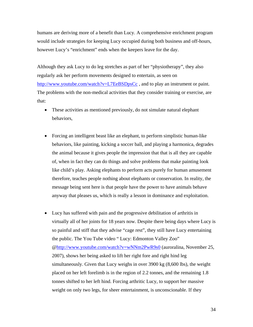humans are deriving more of a benefit than Lucy. A comprehensive enrichment program would include strategies for keeping Lucy occupied during both business and off-hours, however Lucy's "enrichment" ends when the keepers leave for the day.

Although they ask Lucy to do leg stretches as part of her "physiotherapy", they also regularly ask her perform movements designed to entertain, as seen on <http://www.youtube.com/watch?v=L7EeBSDpsCc>, and to play an instrument or paint. The problems with the non-medical activities that they consider training or exercise, are that:

- These activities as mentioned previously, do not simulate natural elephant behaviors,
- Forcing an intelligent beast like an elephant, to perform simplistic human-like behaviors, like painting, kicking a soccer ball, and playing a harmonica, degrades the animal because it gives people the impression that that is all they are capable of, when in fact they can do things and solve problems that make painting look like child's play. Asking elephants to perform acts purely for human amusement therefore, teaches people nothing about elephants or conservation. In reality, the message being sent here is that people have the power to have animals behave anyway that pleases us, which is really a lesson in dominance and exploitation.
- Lucy has suffered with pain and the progressive debilitation of arthritis in virtually all of her joints for 18 years now. Despite there being days where Lucy is so painful and stiff that they advise "cage rest", they still have Lucy entertaining the public. The You Tube video " Lucy: Edmonton Valley Zoo" @<http://www.youtube.com/watch?v=wNNm2PwR9s0> (auroralina, November 25, 2007), shows her being asked to lift her right fore and right hind leg simultaneously. Given that Lucy weighs in over 3900 kg (8,600 lbs), the weight placed on her left forelimb is in the region of 2.2 tonnes, and the remaining 1.8 tonnes shifted to her left hind. Forcing arthritic Lucy, to support her massive weight on only two legs, for sheer entertainment, is unconscionable. If they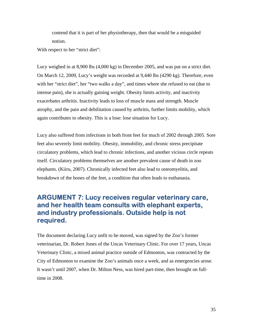contend that it is part of her physiotherapy, then that would be a misguided notion.

With respect to her "strict diet":

Lucy weighed in at 8,900 lbs (4,000 kg) in December 2005, and was put on a strict diet. On March 12, 2009, Lucy's weight was recorded at 9,440 lbs (4290 kg). Therefore, even with her "strict diet", her "two walks a day", and times where she refused to eat (due to intense pain), she is actually gaining weight. Obesity limits activity, and inactivity exacerbates arthritis. Inactivity leads to loss of muscle mass and strength. Muscle atrophy, and the pain and debilitation caused by arthritis, further limits mobility, which again contributes to obesity. This is a lose: lose situation for Lucy.

Lucy also suffered from infections in both front feet for much of 2002 through 2005. Sore feet also severely limit mobility. Obesity, immobility, and chronic stress precipitate circulatory problems, which lead to chronic infections, and another vicious circle repeats itself. Circulatory problems themselves are another prevalent cause of death in zoo elephants. (Kiiru, 2007). Chronically infected feet also lead to osteomyelitis, and breakdown of the bones of the feet, a condition that often leads to euthanasia.

#### **ARGUMENT 7: Lucy receives regular veterinary care, and her health team consults with elephant experts, and industry professionals. Outside help is not required.**

The document declaring Lucy unfit to be moved, was signed by the Zoo's former veterinarian, Dr. Robert Jones of the Uncas Veterinary Clinic. For over 17 years, Uncas Veterinary Clinic, a mixed animal practice outside of Edmonton, was contracted by the City of Edmonton to examine the Zoo's animals once a week, and as emergencies arose. It wasn't until 2007, when Dr. Milton Ness, was hired part-time, then brought on fulltime in 2008.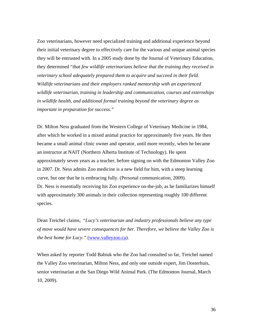Zoo veterinarians, however need specialized training and additional experience beyond their initial veterinary degree to effectively care for the various and unique animal species they will be entrusted with. In a 2005 study done by the Journal of Veterinary Education, they determined "*that few wildlife veterinarians believe that the training they received in veterinary school adequately prepared them to acquire and succeed in their field. Wildlife veterinarians and their employers ranked mentorship with an experienced wildlife veterinarian, training in leadership and communication, courses and externships in wildlife health, and additional formal training beyond the veterinary degree as important in preparation for success."* 

Dr. Milton Ness graduated from the Western College of Veterinary Medicine in 1984, after which he worked in a mixed animal practice for approximately five years. He then became a small animal clinic owner and operator, until more recently, when he became an instructor at NAIT (Northern Alberta Institute of Technology). He spent approximately seven years as a teacher, before signing on with the Edmonton Valley Zoo in 2007. Dr. Ness admits Zoo medicine is a new field for him, with a steep learning curve, but one that he is embracing fully. (Personal communication, 2009). Dr. Ness is essentially receiving his Zoo experience on-the-job, as he familiarizes himself with approximately 300 animals in their collection representing roughly 100 different species.

Dean Treichel claims, "*Lucy's veterinarian and industry professionals believe any type of move would have severe consequences for her. Therefore, we believe the Valley Zoo is the best home for Lucy."* ([www.valleyzoo.ca](http://www.valleyzoo.ca/)).

When asked by reporter Todd Babiuk who the Zoo had consulted so far, Treichel named the Valley Zoo veterinarian, Milton Ness, and only one outside expert, Jim Oosterhuis, senior veterinarian at the San Diego Wild Animal Park. (The Edmonton Journal, March 10, 2009).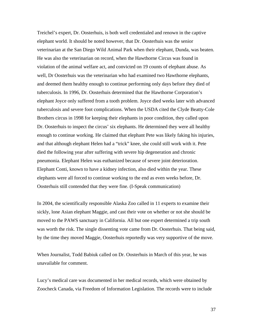Treichel's expert, Dr. Oosterhuis, is both well credentialed and renown in the captive elephant world. It should be noted however, that Dr. Oosterhuis was the senior veterinarian at the San Diego Wild Animal Park when their elephant, Dunda, was beaten. He was also the veterinarian on record, when the Hawthorne Circus was found in violation of the animal welfare act, and convicted on 19 counts of elephant abuse. As well, Dr Oosterhuis was the veterinarian who had examined two Hawthorne elephants, and deemed them healthy enough to continue performing only days before they died of tuberculosis. In 1996, Dr. Oosterhuis determined that the Hawthorne Corporation's elephant Joyce only suffered from a tooth problem. Joyce died weeks later with advanced tuberculosis and severe foot complications. When the USDA cited the Clyde Beatty-Cole Brothers circus in 1998 for keeping their elephants in poor condition, they called upon Dr. Oosterhuis to inspect the circus' six elephants. He determined they were all healthy enough to continue working. He claimed that elephant Pete was likely faking his injuries, and that although elephant Helen had a "trick" knee, she could still work with it. Pete died the following year after suffering with severe hip degeneration and chronic pneumonia. Elephant Helen was euthanized because of severe joint deterioration. Elephant Conti, known to have a kidney infection, also died within the year. These elephants were all forced to continue working to the end as even weeks before, Dr. Oosterhuis still contended that they were fine. (I-Speak communication)

In 2004, the scientifically responsible Alaska Zoo called in 11 experts to examine their sickly, lone Asian elephant Maggie, and cast their vote on whether or not she should be moved to the PAWS sanctuary in California. All but one expert determined a trip south was worth the risk. The single dissenting vote came from Dr. Oosterhuis. That being said, by the time they moved Maggie, Oosterhuis reportedly was very supportive of the move.

When Journalist, Todd Babiuk called on Dr. Oosterhuis in March of this year, he was unavailable for comment.

Lucy's medical care was documented in her medical records, which were obtained by Zoocheck Canada, via Freedom of Information Legislation. The records were to include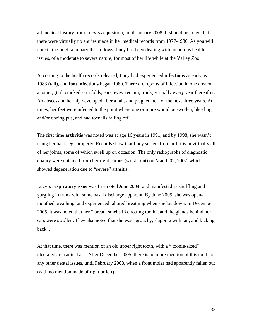all medical history from Lucy's acquisition, until January 2008. It should be noted that there were virtually no entries made in her medical records from 1977-1980. As you will note in the brief summary that follows, Lucy has been dealing with numerous health issues, of a moderate to severe nature, for most of her life while at the Valley Zoo.

According to the health records released, Lucy had experienced i**nfections** as early as 1983 (tail), and **foot infections** began 1989. There are reports of infection in one area or another, (tail, cracked skin folds, ears, eyes, rectum, trunk) virtually every year thereafter. An abscess on her hip developed after a fall, and plagued her for the next three years. At times, her feet were infected to the point where one or more would be swollen, bleeding and/or oozing pus, and had toenails falling off.

The first time **arthritis** was noted was at age 16 years in 1991, and by 1998, she wasn't using her back legs properly. Records show that Lucy suffers from arthritis in virtually all of her joints, some of which swell up on occasion. The only radiographs of diagnostic quality were obtained from her right carpus (wrist joint) on March 02, 2002, which showed degeneration due to "severe" arthritis.

Lucy's **respiratory issue** was first noted June 2004; and manifested as snuffling and gurgling in trunk with some nasal discharge apparent. By June 2005, she was openmouthed breathing, and experienced labored breathing when she lay down. In December 2005, it was noted that her " breath smells like rotting tooth", and the glands behind her ears were swollen. They also noted that she was "grouchy, slapping with tail, and kicking back".

At that time, there was mention of an old upper right tooth, with a " toonie-sized" ulcerated area at its base. After December 2005, there is no more mention of this tooth or any other dental issues, until February 2008, when a front molar had apparently fallen out (with no mention made of right or left).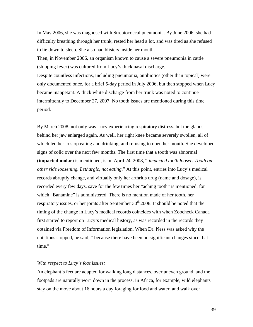In May 2006, she was diagnosed with Streptococcal pneumonia. By June 2006, she had difficulty breathing through her trunk, rested her head a lot, and was tired as she refused to lie down to sleep. She also had blisters inside her mouth.

Then, in November 2006, an organism known to cause a severe pneumonia in cattle (shipping fever) was cultured from Lucy's thick nasal discharge.

Despite countless infections, including pneumonia, antibiotics (other than topical) were only documented once, for a brief 5-day period in July 2006, but then stopped when Lucy became inappetant. A thick white discharge from her trunk was noted to continue intermittently to December 27, 2007. No tooth issues are mentioned during this time period.

By March 2008, not only was Lucy experiencing respiratory distress, but the glands behind her jaw enlarged again. As well, her right knee became severely swollen, all of which led her to stop eating and drinking, and refusing to open her mouth. She developed signs of colic over the next few months. The first time that a tooth was abnormal **(impacted molar)** is mentioned, is on April 24, 2008, " *impacted tooth looser. Tooth on other side loosening. Lethargic, not eating*." At this point, entries into Lucy's medical records abruptly change, and virtually only her arthritis drug (name and dosage), is recorded every few days, save for the few times her "aching tooth" is mentioned, for which "Banamine" is administered. There is no mention made of her tooth, her respiratory issues, or her joints after September  $30<sup>th</sup> 2008$ . It should be noted that the timing of the change in Lucy's medical records coincides with when Zoocheck Canada first started to report on Lucy's medical history, as was recorded in the records they obtained via Freedom of Information legislation. When Dr. Ness was asked why the notations stopped, he said, " because there have been no significant changes since that time."

#### *With respect to Lucy's foot issues:*

An elephant's feet are adapted for walking long distances, over uneven ground, and the footpads are naturally worn down in the process. In Africa, for example, wild elephants stay on the move about 16 hours a day foraging for food and water, and walk over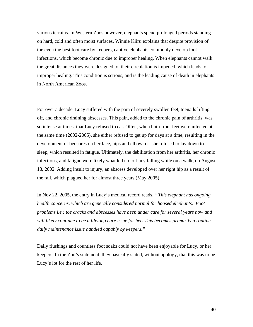various terrains. In Western Zoos however, elephants spend prolonged periods standing on hard, cold and often moist surfaces. Winnie Kiiru explains that despite provision of the even the best foot care by keepers, captive elephants commonly develop foot infections, which become chronic due to improper healing. When elephants cannot walk the great distances they were designed to, their circulation is impeded, which leads to improper healing. This condition is serious, and is the leading cause of death in elephants in North American Zoos.

For over a decade, Lucy suffered with the pain of severely swollen feet, toenails lifting off, and chronic draining abscesses. This pain, added to the chronic pain of arthritis, was so intense at times, that Lucy refused to eat. Often, when both front feet were infected at the same time (2002-2005), she either refused to get up for days at a time, resulting in the development of bedsores on her face, hips and elbow; or, she refused to lay down to sleep, which resulted in fatigue. Ultimately, the debilitation from her arthritis, her chronic infections, and fatigue were likely what led up to Lucy falling while on a walk, on August 18, 2002. Adding insult to injury, an abscess developed over her right hip as a result of the fall, which plagued her for almost three years (May 2005).

In Nov 22, 2005, the entry in Lucy's medical record reads, " *This elephant has ongoing health concerns, which are generally considered normal for housed elephants. Foot problems i.e.: toe cracks and abscesses have been under care for several years now and will likely continue to be a lifelong care issue for her. This becomes primarily a routine daily maintenance issue handled capably by keepers."* 

Daily flushings and countless foot soaks could not have been enjoyable for Lucy, or her keepers. In the Zoo's statement, they basically stated, without apology, that this was to be Lucy's lot for the rest of her life.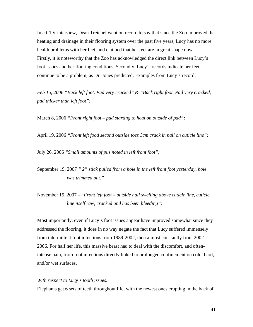In a CTV interview, Dean Treichel went on record to say that since the Zoo improved the heating and drainage in their flooring system over the past five years, Lucy has no more health problems with her feet, and claimed that her feet are in great shape now. Firstly, it is noteworthy that the Zoo has acknowledged the direct link between Lucy's foot issues and her flooring conditions. Secondly, Lucy's records indicate her feet continue to be a problem, as Dr. Jones predicted. Examples from Lucy's record:

*Feb 15, 2006 "Back left foot. Pad very cracked" & "Back right foot. Pad very cracked, pad thicker than left foot":* 

March 8, 2006 *"Front right foot – pad starting to heal on outside of pad";* 

April 19, 2006 *"Front left food second outside toes 3cm crack in nail on cuticle line";* 

July 26, 2006 *"Small amounts of pus noted in left front foot";* 

September 19, 2007 *" 2" stick pulled from a hole in the left front foot yesterday, hole was trimmed out."* 

November 15, 2007 – "*Front left foot – outside nail swelling above cuticle line, cuticle line itself raw, cracked and has been bleeding":* 

Most importantly, even if Lucy's foot issues appear have improved somewhat since they addressed the flooring, it does in no way negate the fact that Lucy suffered immensely from intermittent foot infections from 1989-2002, then almost constantly from 2002- 2006. For half her life, this massive beast had to deal with the discomfort, and oftenintense pain, from foot infections directly linked to prolonged confinement on cold, hard, and/or wet surfaces.

#### *With respect to Lucy's tooth issues:*

Elephants get 6 sets of teeth throughout life, with the newest ones erupting in the back of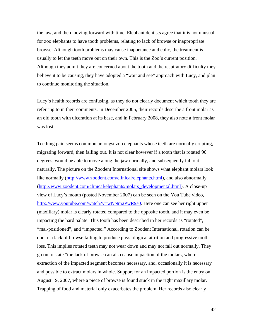the jaw, and then moving forward with time. Elephant dentists agree that it is not unusual for zoo elephants to have tooth problems, relating to lack of browse or inappropriate browse. Although tooth problems may cause inappetance and colic, the treatment is usually to let the teeth move out on their own. This is the Zoo's current position. Although they admit they are concerned about the tooth and the respiratory difficulty they believe it to be causing, they have adopted a "wait and see" approach with Lucy, and plan to continue monitoring the situation.

Lucy's health records are confusing, as they do not clearly document which tooth they are referring to in their comments. In December 2005, their records describe a front molar as an old tooth with ulceration at its base, and in February 2008, they also note a front molar was lost.

Teething pain seems common amongst zoo elephants whose teeth are normally erupting, migrating forward, then falling out. It is not clear however if a tooth that is rotated 90 degrees, would be able to move along the jaw normally, and subsequently fall out naturally. The picture on the Zoodent International site shows what elephant molars look like normally [\(http://www.zoodent.com/clinical/elephants.html\)](http://www.zoodent.com/clinical/elephants.html), and also abnormally ([http://www.zoodent.com/clinical/elephants/molars\\_developmental.html](http://www.zoodent.com/clinical/elephants/molars_developmental.html)). A close-up view of Lucy's mouth (posted November 2007) can be seen on the You Tube video, <http://www.youtube.com/watch?v=wNNm2PwR9s0>. Here one can see her right upper (maxillary) molar is clearly rotated compared to the opposite tooth, and it may even be impacting the hard palate. This tooth has been described in her records as "rotated", "mal-positioned", and "impacted." According to Zoodent International, rotation can be due to a lack of browse failing to produce physiological attrition and progressive tooth loss. This implies rotated teeth may not wear down and may not fall out normally. They go on to state "the lack of browse can also cause impaction of the molars, where extraction of the impacted segment becomes necessary, and, occasionally it is necessary and possible to extract molars in whole. Support for an impacted portion is the entry on August 19, 2007, where a piece of browse is found stuck in the right maxillary molar. Trapping of food and material only exacerbates the problem. Her records also clearly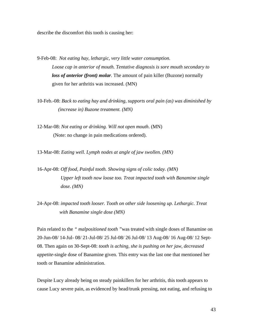describe the discomfort this tooth is causing her:

- 9-Feb-08: *Not eating hay, lethargic, very little water consumption. Loose cap in anterior of mouth. Tentative diagnosis is sore mouth secondary to loss of anterior (front) molar.* The amount of pain killer (Buzone) normally given for her arthritis was increased. (MN)
- 10-Feb.-08: *Back to eating hay and drinking, supports oral pain (as) was diminished by (increase in) Buzone treatment. (MN)*
- 12-Mar-08: *Not eating or drinking. Will not open mouth*. (MN) (Note: no change in pain medications ordered).

13-Mar-08: *Eating well. Lymph nodes at angle of jaw swollen. (MN)* 

- 16-Apr-08: *Off food, Painful tooth. Showing signs of colic today. (MN) Upper left tooth now loose too. Treat impacted tooth with Banamine single dose. (MN)*
- 24-Apr-08: *impacted tooth looser. Tooth on other side loosening up. Lethargic. Treat with Banamine single dose (MN)*

Pain related to the *" malpositioned tooth "*was treated with single doses of Banamine on 20-Jun-08/ 14-Jul- 08/ 21-Jul-08/ 25 Jul-08/ 26 Jul-08/ 13 Aug-08/ 16 Aug-08/ 12 Sept-08. Then again on 30-Sept-08: *tooth is aching, she is pushing on her jaw, decreased appetite-*single dose of Banamine given. This entry was the last one that mentioned her tooth or Banamine administration.

Despite Lucy already being on steady painkillers for her arthritis, this tooth appears to cause Lucy severe pain, as evidenced by head/trunk pressing, not eating, and refusing to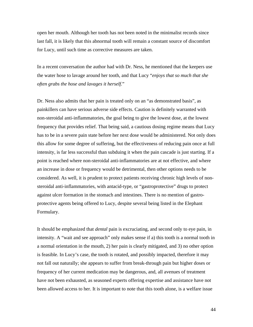open her mouth. Although her tooth has not been noted in the minimalist records since last fall, it is likely that this abnormal tooth will remain a constant source of discomfort for Lucy, until such time as corrective measures are taken.

In a recent conversation the author had with Dr. Ness, he mentioned that the keepers use the water hose to lavage around her tooth, and that Lucy "*enjoys that so much that she often grabs the hose and lavages it herself.*"

Dr. Ness also admits that her pain is treated only on an "as demonstrated basis", as painkillers can have serious adverse side effects. Caution is definitely warranted with non-steroidal anti-inflammatories, the goal being to give the lowest dose, at the lowest frequency that provides relief. That being said, a cautious dosing regime means that Lucy has to be in a severe pain state before her next dose would be administered. Not only does this allow for some degree of suffering, but the effectiveness of reducing pain once at full intensity, is far less successful than subduing it when the pain cascade is just starting. If a point is reached where non-steroidal anti-inflammatories are at not effective, and where an increase in dose or frequency would be detrimental, then other options needs to be considered. As well, it is prudent to protect patients receiving chronic high levels of nonsteroidal anti-inflammatories, with antacid-type, or "gastroprotective" drugs to protect against ulcer formation in the stomach and intestines. There is no mention of gastroprotective agents being offered to Lucy, despite several being listed in the Elephant Formulary.

It should be emphasized that *dental* pain is excruciating, and second only to eye pain, in intensity. A "wait and see approach" only makes sense if a) this tooth is a normal tooth in a normal orientation in the mouth, 2) her pain is clearly mitigated, and 3) no other option is feasible. In Lucy's case, the tooth is rotated, and possibly impacted, therefore it may not fall out naturally; she appears to suffer from break-through pain but higher doses or frequency of her current medication may be dangerous, and, all avenues of treatment have not been exhausted, as seasoned experts offering expertise and assistance have not been allowed access to her. It is important to note that this tooth alone, is a welfare issue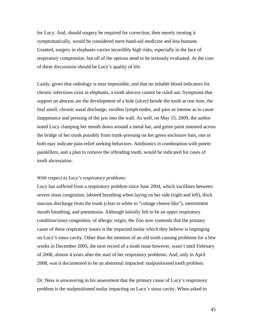for Lucy. And, should surgery be required for correction, then merely treating it symptomatically, would be considered mere band-aid medicine and less humane. Granted, surgery in elephants carries incredibly high risks, especially in the face of respiratory compromise, but *all* of the options need to be seriously evaluated. At the core of these discussions should be Lucy's quality of life.

Lastly, given that radiology is near impossible, and that no reliable blood indicators for chronic infections exist in elephants, a tooth abscess cannot be ruled out. Symptoms that support an abscess are the development of a hole (ulcer) beside the tooth at one time, the foul smell, chronic nasal discharge, swollen lymph nodes, and pain so intense as to cause inappetance and pressing of the jaw into the wall. As well, on May 15, 2009, the author noted Lucy clamping her mouth down around a metal bar, and green paint smeared across the bridge of her trunk possibly from trunk-pressing on her green enclosure bars, one or both may indicate pain-relief seeking behaviors. Antibiotics in combination with potent painkillers, and a plan to remove the offending tooth, would be indicated for cases of tooth abcessation.

#### *With respect to Lucy's respiratory problems:*

Lucy has suffered from a respiratory problem since June 2004, which vacillates between severe sinus congestion, labored breathing when laying on her side (right and left), thick mucous discharge from the trunk (clear to white to "cottage cheese like"), intermittent mouth breathing, and pneumonia. Although initially felt to be an upper respiratory condition/sinus congestion, of allergic origin, the Zoo now contends that the primary cause of these respiratory issues is the impacted molar which they believe is impinging on Lucy's sinus cavity. Other than the mention of an old tooth causing problems for a few weeks in December 2005, the next record of a tooth issue however, wasn't until February of 2008, almost 4 years after the start of her respiratory problems. And, only in April 2008, was it documented to be an abnormal impacted/ malpositioned tooth problem.

Dr. Ness is unwavering in his assessment that the primary cause of Lucy's respiratory problem is the malpositioned molar impacting on Lucy's sinus cavity. When asked to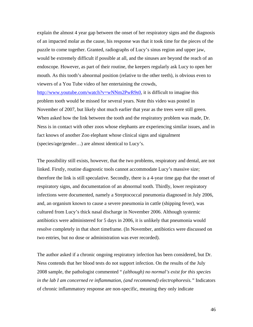explain the almost 4 year gap between the onset of her respiratory signs and the diagnosis of an impacted molar as the cause, his response was that it took time for the pieces of the puzzle to come together. Granted, radiographs of Lucy's sinus region and upper jaw, would be extremely difficult if possible at all, and the sinuses are beyond the reach of an endoscope. However, as part of their routine, the keepers regularly ask Lucy to open her mouth. As this tooth's abnormal position (relative to the other teeth), is obvious even to viewers of a You Tube video of her entertaining the crowds,

<http://www.youtube.com/watch?v=wNNm2PwR9s0>, it is difficult to imagine this problem tooth would be missed for several years. Note this video was posted in November of 2007, but likely shot much earlier that year as the trees were still green. When asked how the link between the tooth and the respiratory problem was made, Dr. Ness is in contact with other zoos whose elephants are experiencing similar issues, and in fact knows of another Zoo elephant whose clinical signs and signalment (species/age/gender…) are almost identical to Lucy's.

The possibility still exists, however, that the two problems, respiratory and dental, are not linked. Firstly, routine diagnostic tools cannot accommodate Lucy's massive size; therefore the link is still speculative. Secondly, there is a 4-year time gap that the onset of respiratory signs, and documentation of an abnormal tooth. Thirdly, lower respiratory infections were documented, namely a Streptococcal pneumonia diagnosed in July 2006, and, an organism known to cause a severe pneumonia in cattle (shipping fever), was cultured from Lucy's thick nasal discharge in November 2006. Although systemic antibiotics were administered for 5 days in 2006, it is unlikely that pneumonia would resolve completely in that short timeframe. (In November, antibiotics were discussed on two entries, but no dose or administration was ever recorded).

The author asked if a chronic ongoing respiratory infection has been considered, but Dr. Ness contends that her blood tests do not support infection. On the results of the July 2008 sample, the pathologist commented " *(although) no normal's exist for this species in the lab I am concerned re inflammation, (and recommend) electrophoresis."* Indicators of chronic inflammatory response are non-specific, meaning they only indicate

46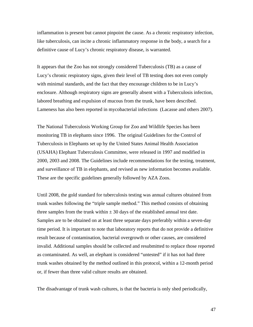inflammation is present but cannot pinpoint the cause. As a chronic respiratory infection, like tuberculosis, can incite a chronic inflammatory response in the body, a search for a definitive cause of Lucy's chronic respiratory disease, is warranted.

It appears that the Zoo has not strongly considered Tuberculosis (TB) as a cause of Lucy's chronic respiratory signs, given their level of TB testing does not even comply with minimal standards, and the fact that they encourage children to be in Lucy's enclosure. Although respiratory signs are generally absent with a Tuberculosis infection, labored breathing and expulsion of mucous from the trunk, have been described. Lameness has also been reported in mycobacterial infections (Lacasse and others 2007).

The National Tuberculosis Working Group for Zoo and Wildlife Species has been monitoring TB in elephants since 1996. The original Guidelines for the Control of Tuberculosis in Elephants set up by the United States Animal Health Association (USAHA) Elephant Tuberculosis Committee, were released in 1997 and modified in 2000, 2003 and 2008. The Guidelines include recommendations for the testing, treatment, and surveillance of TB in elephants, and revised as new information becomes available. These are the specific guidelines generally followed by AZA Zoos.

Until 2008, the gold standard for tuberculosis testing was annual cultures obtained from trunk washes following the "triple sample method." This method consists of obtaining three samples from the trunk within  $\pm 30$  days of the established annual test date. Samples are to be obtained on at least three separate days preferably within a seven-day time period. It is important to note that laboratory reports that do not provide a definitive result because of contamination, bacterial overgrowth or other causes, are considered invalid. Additional samples should be collected and resubmitted to replace those reported as contaminated. As well, an elephant is considered "untested" if it has not had three trunk washes obtained by the method outlined in this protocol, within a 12-month period or, if fewer than three valid culture results are obtained.

The disadvantage of trunk wash cultures, is that the bacteria is only shed periodically,

47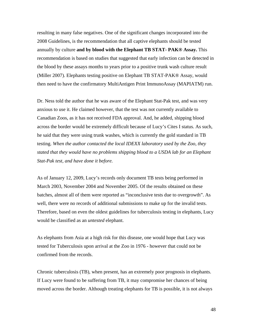resulting in many false negatives. One of the significant changes incorporated into the 2008 Guidelines, is the recommendation that all captive elephants should be tested annually by culture **and by blood with the Elephant TB STAT- PAK® Assay.** This recommendation is based on studies that suggested that early infection can be detected in the blood by these assays months to years prior to a positive trunk wash culture result (Miller 2007). Elephants testing positive on Elephant TB STAT-PAK® Assay, would then need to have the confirmatory MultiAntigen Print ImmunoAssay (MAPIATM) run.

Dr. Ness told the author that he was aware of the Elephant Stat-Pak test, and was very anxious to use it. He claimed however, that the test was not currently available to Canadian Zoos, as it has not received FDA approval. And, he added, shipping blood across the border would be extremely difficult because of Lucy's Cites I status. As such, he said that they were using trunk washes, which is currently the gold standard in TB testing. *When the author contacted the local IDEXX laboratory used by the Zoo, they stated that they would have no problems shipping blood to a USDA lab for an Elephant Stat-Pak test, and have done it before.* 

As of January 12, 2009, Lucy's records only document TB tests being performed in March 2003, November 2004 and November 2005. Of the results obtained on these batches, almost all of them were reported as "inconclusive tests due to overgrowth". As well, there were no records of additional submissions to make up for the invalid tests. Therefore, based on even the oldest guidelines for tuberculosis testing in elephants, Lucy would be classified as an *untested* elephant.

As elephants from Asia at a high risk for this disease, one would hope that Lucy was tested for Tuberculosis upon arrival at the Zoo in 1976 - however that could not be confirmed from the records.

Chronic tuberculosis (TB), when present, has an extremely poor prognosis in elephants. If Lucy were found to be suffering from TB, it may compromise her chances of being moved across the border. Although treating elephants for TB is possible, it is not always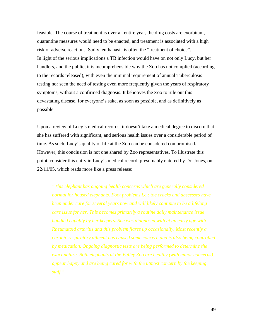feasible. The course of treatment is over an entire year, the drug costs are exorbitant, quarantine measures would need to be enacted, and treatment is associated with a high risk of adverse reactions. Sadly, euthanasia is often the "treatment of choice". In light of the serious implications a TB infection would have on not only Lucy, but her handlers, and the public, it is incomprehensible why the Zoo has not complied (according to the records released), with even the minimal requirement of annual Tuberculosis testing nor seen the need of testing even more frequently given the years of respiratory symptoms, without a confirmed diagnosis. It behooves the Zoo to rule out this devastating disease, for everyone's sake, as soon as possible, and as definitively as possible.

Upon a review of Lucy's medical records, it doesn't take a medical degree to discern that she has suffered with significant, and serious health issues over a considerable period of time. As such, Lucy's quality of life at the Zoo can be considered compromised. However, this conclusion is not one shared by Zoo representatives. To illustrate this point, consider this entry in Lucy's medical record, presumably entered by Dr. Jones, on 22/11/05, which reads more like a press release:

*"This elephant has ongoing health concerns which are generally considered normal for housed elephants. Foot problems i.e.: toe cracks and abscesses have been under care for several years now and will likely continue to be a lifelong care issue for her. This becomes primarily a routine daily maintenance issue handled capably by her keepers. She was diagnosed with at an early age with Rheumatoid arthritis and this problem flares up occasionally. Most recently a by medication. Ongoing diagnostic tests are being performed to determine the exact nature. Both elephants at the Valley Zoo are healthy (with minor concerns) appear happy and are being cared for with the utmost concern by the keeping*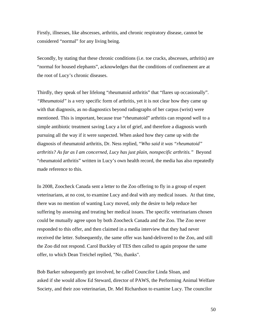Firstly, illnesses, like abscesses, arthritis, and chronic respiratory disease, cannot be considered "normal" for any living being.

Secondly, by stating that these chronic conditions (i.e. toe cracks, abscesses, arthritis) are "normal for housed elephants", acknowledges that the conditions of confinement are at the root of Lucy's chronic diseases.

Thirdly, they speak of her lifelong "rheumatoid arthritis" that "flares up occasionally". *"Rheumatoid"* is a very specific form of arthritis, yet it is not clear how they came up with that diagnosis, as no diagnostics beyond radiographs of her carpus (wrist) were mentioned. This is important, because true "rheumatoid" arthritis can respond well to a simple antibiotic treatment saving Lucy a lot of grief, and therefore a diagnosis worth pursuing all the way if it were suspected. When asked how they came up with the diagnosis of rheumatoid arthritis, Dr. Ness replied, "*Who said it was "rheumatoid" arthritis? As far as I am concerned, Lucy has just plain, nonspecific arthritis."* Beyond "rheumatoid arthritis" written in Lucy's own health record, the media has also repeatedly made reference to this.

In 2008, Zoocheck Canada sent a letter to the Zoo offering to fly in a group of expert veterinarians, at no cost, to examine Lucy and deal with any medical issues. At that time, there was no mention of wanting Lucy moved, only the desire to help reduce her suffering by assessing and treating her medical issues. The specific veterinarians chosen could be mutually agree upon by both Zoocheck Canada and the Zoo. The Zoo never responded to this offer, and then claimed in a media interview that they had never received the letter. Subsequently, the same offer was hand-delivered to the Zoo, and still the Zoo did not respond. Carol Buckley of TES then called to again propose the same offer, to which Dean Treichel replied, "No, thanks".

Bob Barker subsequently got involved, he called Councilor Linda Sloan, and asked if she would allow Ed Steward, director of PAWS, the Performing Animal Welfare Society, and their zoo veterinarian, Dr. Mel Richardson to examine Lucy. The councilor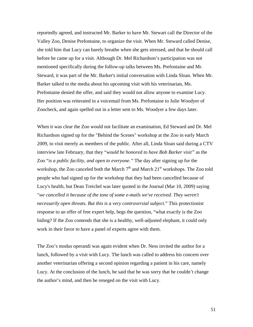reportedly agreed, and instructed Mr. Barker to have Mr. Stewart call the Director of the Valley Zoo, Denise Prefontaine, to organize the visit. When Mr. Steward called Denise, she told him that Lucy can barely breathe when she gets stressed, and that he should call before he came up for a visit. Although Dr. Mel Richardson's participation was not mentioned specifically during the follow-up talks between Ms. Prefontaine and Mr. Steward, it was part of the Mr. Barker's initial conversation with Linda Sloan. When Mr. Barker talked to the media about his upcoming visit with his veterinarian, Ms. Prefontaine denied the offer, and said they would not allow anyone to examine Lucy. Her position was reiterated in a voicemail from Ms. Prefontaine to Julie Woodyer of Zoocheck, and again spelled out in a letter sent to Ms. Woodyer a few days later.

When it was clear the Zoo would not facilitate an examination, Ed Steward and Dr. Mel Richardson signed up for the "Behind the Scenes" workshop at the Zoo in early March 2009, to visit merely as members of the public. After all, Linda Sloan said during a CTV interview late February, that they "*would be honored to have Bob Barker visit"* as the Zoo "*is a public facility, and open to everyone."* The day after signing up for the workshop, the Zoo canceled both the March  $7<sup>th</sup>$  and March  $21<sup>st</sup>$  workshops. The Zoo told people who had signed up for the workshop that they had been cancelled because of Lucy's health, but Dean Treichel was later quoted in the Journal (Mar 10, 2009) saying "*we cancelled it because of the tone of some e-mails we've received. They weren't necessarily open threats. But this is a very controversial subject.*" This protectionist response to an offer of free expert help, begs the question, "what exactly is the Zoo hiding? If the Zoo contends that she is a healthy, well-adjusted elephant, it could only work in their favor to have a panel of experts agree with them.

The Zoo's modus operandi was again evident when Dr. Ness invited the author for a lunch, followed by a visit with Lucy. The lunch was called to address his concern over another veterinarian offering a second opinion regarding a patient in his care, namely Lucy. At the conclusion of the lunch, he said that he was sorry that he couldn't change the author's mind, and then he reneged on the visit with Lucy.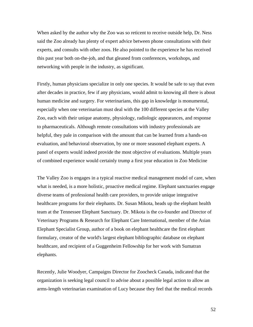When asked by the author why the Zoo was so reticent to receive outside help, Dr. Ness said the Zoo already has plenty of expert advice between phone consultations with their experts, and consults with other zoos. He also pointed to the experience he has received this past year both on-the-job, and that gleaned from conferences, workshops, and networking with people in the industry, as significant.

Firstly, human physicians specialize in only one species. It would be safe to say that even after decades in practice, few if any physicians, would admit to knowing all there is about human medicine and surgery. For veterinarians, this gap in knowledge is monumental, especially when one veterinarian must deal with the 100 different species at the Valley Zoo, each with their unique anatomy, physiology, radiologic appearances, and response to pharmaceuticals. Although remote consultations with industry professionals are helpful, they pale in comparison with the amount that can be learned from a hands-on evaluation, and behavioral observation, by one or more seasoned elephant experts. A panel of experts would indeed provide the most objective of evaluations. Multiple years of combined experience would certainly trump a first year education in Zoo Medicine

The Valley Zoo is engages in a typical reactive medical management model of care, when what is needed, is a more holistic, proactive medical regime. Elephant sanctuaries engage diverse teams of professional health care providers, to provide unique integrative healthcare programs for their elephants. Dr. Susan Mikota, heads up the elephant health team at the Tennessee Elephant Sanctuary. Dr. Mikota is the co-founder and Director of Veterinary Programs & Research for Elephant Care International, member of the Asian Elephant Specialist Group, author of a book on elephant healthcare the first elephant formulary, creator of the world's largest elephant bibliographic database on elephant healthcare, and recipient of a Guggenheim Fellowship for her work with Sumatran elephants.

Recently, Julie Woodyer, Campaigns Director for Zoocheck Canada, indicated that the organization is seeking legal council to advise about a possible legal action to allow an arms-length veterinarian examination of Lucy because they feel that the medical records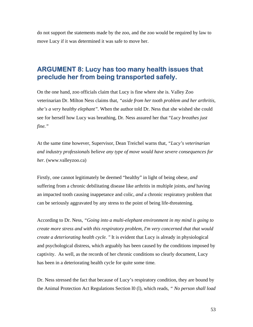do not support the statements made by the zoo, and the zoo would be required by law to move Lucy if it was determined it was safe to move her.

#### **ARGUMENT 8: Lucy has too many health issues that preclude her from being transported safely.**

On the one hand, zoo officials claim that Lucy is fine where she is. Valley Zoo veterinarian Dr. Milton Ness claims that, *"aside from her tooth problem and her arthritis, she's a very healthy elephant".* When the author told Dr. Ness that she wished she could see for herself how Lucy was breathing, Dr. Ness assured her that "*Lucy breathes just fine."*

At the same time however, Supervisor, Dean Treichel warns that, *"Lucy's veterinarian and industry professionals believe any type of move would have severe consequences for her.* (www.valleyzoo.ca)

Firstly, one cannot legitimately be deemed "healthy" in light of being obese, *and*  suffering from a chronic debilitating disease like arthritis in multiple joints, *and* having an impacted tooth causing inappetance and colic, *and* a chronic respiratory problem that can be seriously aggravated by any stress to the point of being life-threatening.

According to Dr. Ness*, "Going into a multi-elephant environment in my mind is going to create more stress and with this respiratory problem, I'm very concerned that that would create a deteriorating health cycle. "* It is evident that Lucy is already in physiological and psychological distress, which arguably has been caused by the conditions imposed by captivity. As well, as the records of her chronic conditions so clearly document, Lucy has been in a deteriorating health cycle for quite some time*.* 

Dr. Ness stressed the fact that because of Lucy's respiratory condition, they are bound by the Animal Protection Act Regulations Section l0 (l), which reads, *" No person shall load*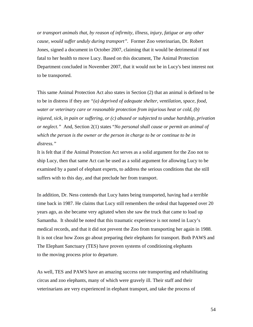*or transport animals that, by reason of infirmity, illness, injury, fatigue or any other cause, would suffer unduly during transport".* Former Zoo veterinarian, Dr. Robert Jones, signed a document in October 2007, claiming that it would be detrimental if not fatal to her health to move Lucy. Based on this document, The Animal Protection Department concluded in November 2007, that it would not be in Lucy's best interest not to be transported.

This same Animal Protection Act also states in Section (2) that an animal is defined to be to be in distress if they are *"(a) deprived of adequate shelter, ventilation, space, food, water or veterinary care or reasonable protection from injurious heat or cold, (b) injured, sick, in pain or suffering, or (c) abused or subjected to undue hardship, privation or neglect."* And, Section 2(1) states "*No personal shall cause or permit an animal of which the person is the owner or the person in charge to be or continue to be in distress."* 

It is felt that if the Animal Protection Act serves as a solid argument for the Zoo not to ship Lucy, then that same Act can be used as a solid argument for allowing Lucy to be examined by a panel of elephant experts, to address the serious conditions that she still suffers with to this day, and that preclude her from transport.

In addition, Dr. Ness contends that Lucy hates being transported, having had a terrible time back in 1987. He claims that Lucy still remembers the ordeal that happened over 20 years ago, as she became very agitated when she saw the truck that came to load up Samantha. It should be noted that this traumatic experience is not noted in Lucy's medical records, and that it did not prevent the Zoo from transporting her again in 1988. It is not clear how Zoos go about preparing their elephants for transport. Both PAWS and The Elephant Sanctuary (TES) have proven systems of conditioning elephants to the moving process prior to departure.

As well, TES and PAWS have an amazing success rate transporting and rehabilitating circus and zoo elephants, many of which were gravely ill. Their staff and their veterinarians are very experienced in elephant transport, and take the process of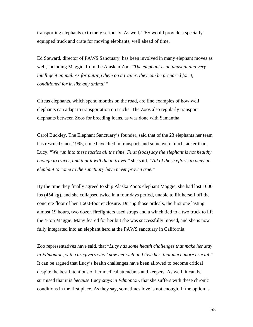transporting elephants extremely seriously. As well, TES would provide a specially equipped truck and crate for moving elephants, well ahead of time.

Ed Steward, director of PAWS Sanctuary, has been involved in many elephant moves as well, including Maggie, from the Alaskan Zoo. "*The elephant is an unusual and very intelligent animal. As for putting them on a trailer, they can be prepared for it, conditioned for it, like any animal."* 

Circus elephants, which spend months on the road, are fine examples of how well elephants can adapt to transportation on trucks. The Zoos also regularly transport elephants between Zoos for breeding loans, as was done with Samantha.

Carol Buckley, The Elephant Sanctuary's founder, said that of the 23 elephants her team has rescued since 1995, none have died in transport, and some were much sicker than Lucy. "*We run into these tactics all the time. First (zoos) say the elephant is not healthy enough to travel, and that it will die in travel,*" she said. *"All of those efforts to deny an elephant to come to the sanctuary have never proven true."* 

By the time they finally agreed to ship Alaska Zoo's elephant Maggie, she had lost 1000 lbs (454 kg), and she collapsed twice in a four days period, unable to lift herself off the concrete floor of her 1,600-foot enclosure. During those ordeals, the first one lasting almost 19 hours, two dozen firefighters used straps and a winch tied to a two truck to lift the 4-ton Maggie. Many feared for her but she was successfully moved, and she is now fully integrated into an elephant herd at the PAWS sanctuary in California.

Zoo representatives have said, that "*Lucy has some health challenges that make her stay in Edmonton, with caregivers who know her well and love her, that much more crucial."*  It can be argued that Lucy's health challenges have been allowed to become critical despite the best intentions of her medical attendants and keepers. As well, it can be surmised that it is *because* Lucy *stays in Edmonton*, that she suffers with these chronic conditions in the first place. As they say, sometimes love is not enough. If the option is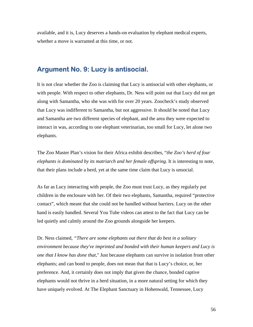available, and it is, Lucy deserves a hands-on evaluation by elephant medical experts, whether a move is warranted at this time, or not.

## **Argument No. 9: Lucy is antisocial.**

It is not clear whether the Zoo is claiming that Lucy is antisocial with other elephants, or with people. With respect to other elephants, Dr. Ness will point out that Lucy did not get along with Samantha, who she was with for over 20 years. Zoocheck's study observed that Lucy was indifferent to Samantha, but not aggressive. It should be noted that Lucy and Samantha are two different species of elephant, and the area they were expected to interact in was, according to one elephant veterinarian, too small for Lucy, let alone two elephants.

The Zoo Master Plan's vision for their Africa exhibit describes, "*the Zoo's herd of four elephants is dominated by its matriarch and her female offspring.* It is interesting to note, that their plans include a herd, yet at the same time claim that Lucy is unsocial.

As far as Lucy interacting with people, the Zoo must trust Lucy, as they regularly put children in the enclosure with her. Of their two elephants, Samantha, required "protective contact", which meant that she could not be handled without barriers. Lucy on the other hand is easily handled. Several You Tube videos can attest to the fact that Lucy can be led quietly and calmly around the Zoo grounds alongside her keepers.

Dr. Ness claimed, *"There are some elephants out there that do best in a solitary environment because they've imprinted and bonded with their human keepers and Lucy is one that I know has done that,*" Just because elephants can survive in isolation from other elephants; and can bond to people, does not mean that that is Lucy's choice, or, her preference. And, it certainly does not imply that given the chance, bonded captive elephants would not thrive in a herd situation, in a more natural setting for which they have uniquely evolved. At The Elephant Sanctuary in Hohenwald, Tennessee, Lucy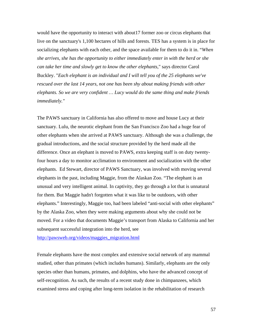would have the opportunity to interact with about17 former zoo or circus elephants that live on the sanctuary's 1,100 hectares of hills and forests. TES has a system is in place for socializing elephants with each other, and the space available for them to do it in. "*When she arrives, she has the opportunity to either immediately enter in with the herd or she can take her time and slowly get to know the other elephants*," says director Carol Buckley. "*Each elephant is an individual and I will tell you of the 25 elephants we've rescued over the last 14 years, not one has been shy about making friends with other elephants. So we are very confident … Lucy would do the same thing and make friends immediately."* 

The PAWS sanctuary in California has also offered to move and house Lucy at their sanctuary. Lulu, the neurotic elephant from the San Francisco Zoo had a huge fear of other elephants when she arrived at PAWS sanctuary. Although she was a challenge, the gradual introductions, and the social structure provided by the herd made all the difference. Once an elephant is moved to PAWS, extra keeping staff is on duty twentyfour hours a day to monitor acclimation to environment and socialization with the other elephants. Ed Stewart, director of PAWS Sanctuary, was involved with moving several elephants in the past, including Maggie, from the Alaskan Zoo. "The elephant is an unusual and very intelligent animal. In captivity, they go through a lot that is unnatural for them. But Maggie hadn't forgotten what it was like to be outdoors, with other elephants." Interestingly, Maggie too, had been labeled "anti-social with other elephants" by the Alaska Zoo, when they were making arguments about why she could not be moved. For a video that documents Maggie's transport from Alaska to California and her subsequent successful integration into the herd, see

[http://pawsweb.org/videos/maggies\\_migration.html](http://pawsweb.org/videos/maggies_migration.html)

Female elephants have the most complex and extensive social network of any mammal studied, other than primates (which includes humans). Similarly, elephants are the only species other than humans, primates, and dolphins, who have the advanced concept of self-recognition. As such, the results of a recent study done in chimpanzees, which examined stress and coping after long-term isolation in the rehabilitation of research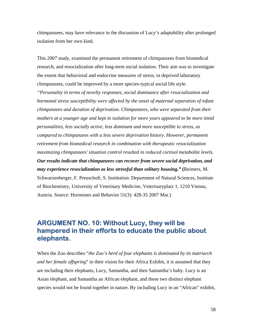chimpanzees, may have relevance in the discussion of Lucy's adaptability after prolonged isolation from her own kind.

This 2007 study, examined the permanent retirement of chimpanzees from biomedical research, and resocialization after long-term social isolation. Their aim was to investigate the extent that behavioral and endocrine measures of stress, in deprived laboratory chimpanzees, could be improved by a more species-typical social life style*.* 

*"Personality in terms of novelty responses, social dominance after resocialization and hormonal stress susceptibility were affected by the onset of maternal separation of infant chimpanzees and duration of deprivation. Chimpanzees, who were separated from their mothers at a younger age and kept in isolation for more years appeared to be more timid personalities, less socially active, less dominant and more susceptible to stress, as compared to chimpanzees with a less severe deprivation history. However, permanent retirement from biomedical research in combination with therapeutic resocialization maximizing chimpanzees' situation control resulted in reduced cortisol metabolite levels. Our results indicate that chimpanzees can recover from severe social deprivation, and may experience resocialization as less stressful than solitary housing."* **(**Reimers, M. Schwarzenberger, F. Preuschoft, S. Institution: Department of Natural Sciences, Institute of Biochemistry, University of Veterinary Medicine, Veterinaryplatz 1, 1210 Vienna, Austria. Source: Hormones and Behavior 51(3): 428-35 2007 Mar.)

#### **ARGUMENT NO. 10: Without Lucy, they will be hampered in their efforts to educate the public about elephants.**

When the Zoo describes "*the Zoo's herd of four elephants is dominated by its matriarch and her female offspring*" in their vision for their Africa Exhibit, it is assumed that they are including their elephants, Lucy, Samantha, and then Samantha's baby. Lucy is an Asian elephant, and Samantha an African elephant, and these two distinct elephant species would not be found together in nature. By including Lucy in an "African" exhibit,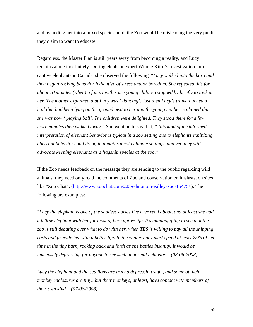and by adding her into a mixed species herd, the Zoo would be misleading the very public they claim to want to educate.

Regardless, the Master Plan is still years away from becoming a reality, and Lucy remains alone indefinitely. During elephant expert Winnie Kiiru's investigation into captive elephants in Canada, she observed the following, "*Lucy walked into the barn and then began rocking behavior indicative of stress and/or boredom. She repeated this for about 10 minutes (when) a family with some young children stopped by briefly to look at her. The mother explained that Lucy was ' dancing'. Just then Lucy's trunk touched a ball that had been lying on the ground next to her and the young mother explained that she was now ' playing ball'. The children were delighted. They stood there for a few more minutes then walked away."* She went on to say that*, " this kind of misinformed interpretation of elephant behavior is typical in a zoo setting due to elephants exhibiting aberrant behaviors and living in unnatural cold climate settings, and yet, they still advocate keeping elephants as a flagship species at the zoo."* 

If the Zoo needs feedback on the message they are sending to the public regarding wild animals, they need only read the comments of Zoo and conservation enthusiasts, on sites like "Zoo Chat". (<http://www.zoochat.com/223/edmonton-valley-zoo-15475/>). The following are examples:

"*Lucy the elephant is one of the saddest stories I've ever read about, and at least she had a fellow elephant with her for most of her captive life. It's mindboggling to see that the zoo is still debating over what to do with her, when TES is willing to pay all the shipping costs and provide her with a better life. In the winter Lucy must spend at least 75% of her time in the tiny barn, rocking back and forth as she battles insanity. It would be immensely depressing for anyone to see such abnormal behavior". (08-06-2008)* 

*Lucy the elephant and the sea lions are truly a depressing sight, and some of their monkey enclosures are tiny...but their monkeys, at least, have contact with members of their own kind". (07-06-2008)*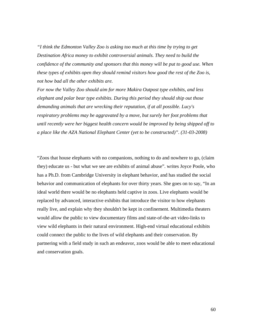*"I think the Edmonton Valley Zoo is asking too much at this time by trying to get Destination Africa money to exhibit controversial animals. They need to build the confidence of the community and sponsors that this money will be put to good use. When these types of exhibits open they should remind visitors how good the rest of the Zoo is, not how bad all the other exhibits are.* 

*For now the Valley Zoo should aim for more Makira Outpost type exhibits, and less elephant and polar bear type exhibits. During this period they should ship out those demanding animals that are wrecking their reputation, if at all possible. Lucy's respiratory problems may be aggravated by a move, but surely her foot problems that until recently were her biggest health concern would be improved by being shipped off to a place like the AZA National Elephant Center (yet to be constructed)". (31-03-2008)* 

"Zoos that house elephants with no companions, nothing to do and nowhere to go, (claim they) educate us - but what we see are exhibits of animal abuse". writes Joyce Poole, who has a Ph.D. from Cambridge University in elephant behavior, and has studied the social behavior and communication of elephants for over thirty years. She goes on to say, "In an ideal world there would be no elephants held captive in zoos. Live elephants would be replaced by advanced, interactive exhibits that introduce the visitor to how elephants really live, and explain why they shouldn't be kept in confinement. Multimedia theaters would allow the public to view documentary films and state-of-the-art video-links to view wild elephants in their natural environment. High-end virtual educational exhibits could connect the public to the lives of wild elephants and their conservation. By partnering with a field study in such an endeavor, zoos would be able to meet educational and conservation goals.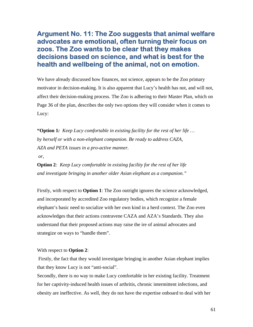#### **Argument No. 11: The Zoo suggests that animal welfare advocates are emotional, often turning their focus on zoos. The Zoo wants to be clear that they makes decisions based on science, and what is best for the health and wellbeing of the animal, not on emotion.**

We have already discussed how finances, not science, appears to be the Zoo primary motivator in decision-making. It is also apparent that Lucy's health has not, and will not, affect their decision-making process. The Zoo is adhering to their Master Plan, which on Page 36 of the plan, describes the only two options they will consider when it comes to Lucy:

**"Option 1***: Keep Lucy comfortable in existing facility for the rest of her life … by herself or with a non-elephant companion. Be ready to address CAZA, AZA and PETA issues in a pro-active manner.* 

 *or,* 

**Option 2***: Keep Lucy comfortable in existing facility for the rest of her life and investigate bringing in another older Asian elephant as a companion."* 

Firstly, with respect to **Option 1**: The Zoo outright ignores the science acknowledged, and incorporated by accredited Zoo regulatory bodies, which recognize a female elephant's basic need to socialize with her own kind in a herd context. The Zoo even acknowledges that their actions contravene CAZA and AZA's Standards. They also understand that their proposed actions may raise the ire of animal advocates and strategize on ways to "handle them".

#### With respect to **Option 2**:

 Firstly, the fact that they would investigate bringing in another Asian elephant implies that they know Lucy is not "anti-social".

Secondly, there is no way to make Lucy comfortable in her existing facility. Treatment for her captivity-induced health issues of arthritis, chronic intermittent infections, and obesity are ineffective. As well, they do not have the expertise onboard to deal with her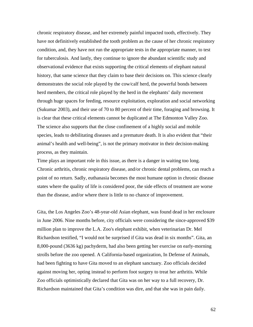chronic respiratory disease, and her extremely painful impacted tooth, effectively. They have not definitively established the tooth problem as the cause of her chronic respiratory condition, and, they have not run the appropriate tests in the appropriate manner, to test for tuberculosis. And lastly, they continue to ignore the abundant scientific study and observational evidence that exists supporting the critical elements of elephant natural history, that same science that they claim to base their decisions on. This science clearly demonstrates the social role played by the cow/calf herd, the powerful bonds between herd members, the critical role played by the herd in the elephants' daily movement through huge spaces for feeding, resource exploitation, exploration and social networking (Sukumar 2003), and their use of 70 to 80 percent of their time, foraging and browsing. It is clear that these critical elements cannot be duplicated at The Edmonton Valley Zoo. The science also supports that the close confinement of a highly social and mobile species, leads to debilitating diseases and a premature death. It is also evident that "their animal's health and well-being", is not the primary motivator in their decision-making process, as they maintain.

Time plays an important role in this issue, as there is a danger in waiting too long. Chronic arthritis, chronic respiratory disease, and/or chronic dental problems, can reach a point of no return. Sadly, euthanasia becomes the most humane option in chronic disease states where the quality of life is considered poor, the side effects of treatment are worse than the disease, and/or where there is little to no chance of improvement.

Gita, the Los Angeles Zoo's 48-year-old Asian elephant, was found dead in her enclosure in June 2006. Nine months before, city officials were considering the since-approved \$39 million plan to improve the L.A. Zoo's elephant exhibit, when veterinarian Dr. Mel Richardson testified, "I would not be surprised if Gita was dead in six months". Gita, an 8,000-pound (3636 kg) pachyderm, had also been getting her exercise on early-morning strolls before the zoo opened. A California-based organization, In Defense of Animals, had been fighting to have Gita moved to an elephant sanctuary. Zoo officials decided against moving her, opting instead to perform foot surgery to treat her arthritis. While Zoo officials optimistically declared that Gita was on her way to a full recovery, Dr. Richardson maintained that Gita's condition was dire, and that she was in pain daily.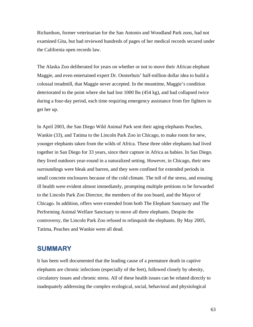Richardson, former veterinarian for the San Antonio and Woodland Park zoos, had not examined Gita, but had reviewed hundreds of pages of her medical records secured under the California open records law.

The Alaska Zoo deliberated for years on whether or not to move their African elephant Maggie, and even entertained expert Dr. Oosterhuis' half-million dollar idea to build a colossal treadmill, that Maggie never accepted. In the meantime, Maggie's condition deteriorated to the point where she had lost 1000 lbs (454 kg), and had collapsed twice during a four-day period, each time requiring emergency assistance from fire fighters to get her up.

In April 2003, the San Diego Wild Animal Park sent their aging elephants Peaches, Wankie (33), and Tatima to the Lincoln Park Zoo in Chicago, to make room for new, younger elephants taken from the wilds of Africa. These three older elephants had lived together in San Diego for 33 years, since their capture in Africa as babies. In San Diego. they lived outdoors year-round in a naturalized setting. However, in Chicago, their new surroundings were bleak and barren, and they were confined for extended periods in small concrete enclosures because of the cold climate. The toll of the stress, and ensuing ill health were evident almost immediately, prompting multiple petitions to be forwarded to the Lincoln Park Zoo Director, the members of the zoo board, and the Mayor of Chicago. In addition, offers were extended from both The Elephant Sanctuary and The Performing Animal Welfare Sanctuary to move all three elephants. Despite the controversy, the Lincoln Park Zoo refused to relinquish the elephants. By May 2005, Tatima, Peaches and Wankie were all dead.

#### **SUMMARY**

It has been well documented that the leading cause of a premature death in captive elephants are chronic infections (especially of the feet), followed closely by obesity, circulatory issues and chronic stress. All of these health issues can be related directly to inadequately addressing the complex ecological, social, behavioral and physiological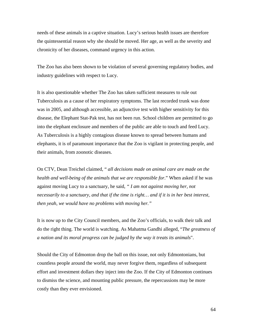needs of these animals in a captive situation. Lucy's serious health issues are therefore the quintessential reason why she should be moved. Her age, as well as the severity and chronicity of her diseases, command urgency in this action.

The Zoo has also been shown to be violation of several governing regulatory bodies, and industry guidelines with respect to Lucy.

It is also questionable whether The Zoo has taken sufficient measures to rule out Tuberculosis as a cause of her respiratory symptoms. The last recorded trunk was done was in 2005, and although accessible, an adjunctive test with higher sensitivity for this disease, the Elephant Stat-Pak test, has not been run. School children are permitted to go into the elephant enclosure and members of the public are able to touch and feed Lucy. As Tuberculosis is a highly contagious disease known to spread between humans and elephants, it is of paramount importance that the Zoo is vigilant in protecting people, and their animals, from zoonotic diseases.

On CTV, Dean Treichel claimed, " *all decisions made on animal care are made on the health and well-being of the animals that we are responsible for*." When asked if he was against moving Lucy to a sanctuary, he said, *" I am not against moving her, not necessarily to a sanctuary, and that if the time is right… and if it is in her best interest, then yeah, we would have no problems with moving her."*

It is now up to the City Council members, and the Zoo's officials, to walk their talk and do the right thing. The world is watching. As Mahatma Gandhi alleged, "*The greatness of a nation and its moral progress can be judged by the way it treats its animals*".

Should the City of Edmonton drop the ball on this issue, not only Edmontonians, but countless people around the world, may never forgive them, regardless of subsequent effort and investment dollars they inject into the Zoo. If the City of Edmonton continues to dismiss the science, and mounting public pressure, the repercussions may be more costly than they ever envisioned.